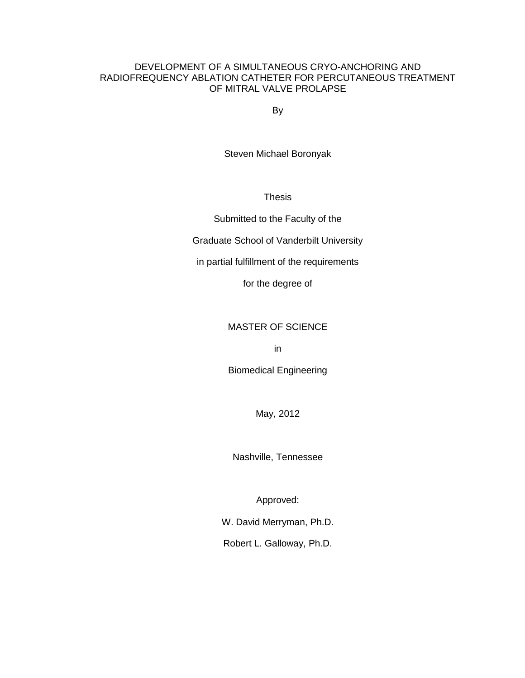# DEVELOPMENT OF A SIMULTANEOUS CRYO-ANCHORING AND RADIOFREQUENCY ABLATION CATHETER FOR PERCUTANEOUS TREATMENT OF MITRAL VALVE PROLAPSE

By

Steven Michael Boronyak

**Thesis** 

Submitted to the Faculty of the

Graduate School of Vanderbilt University

in partial fulfillment of the requirements

for the degree of

# MASTER OF SCIENCE

in

Biomedical Engineering

May, 2012

Nashville, Tennessee

Approved:

W. David Merryman, Ph.D.

Robert L. Galloway, Ph.D.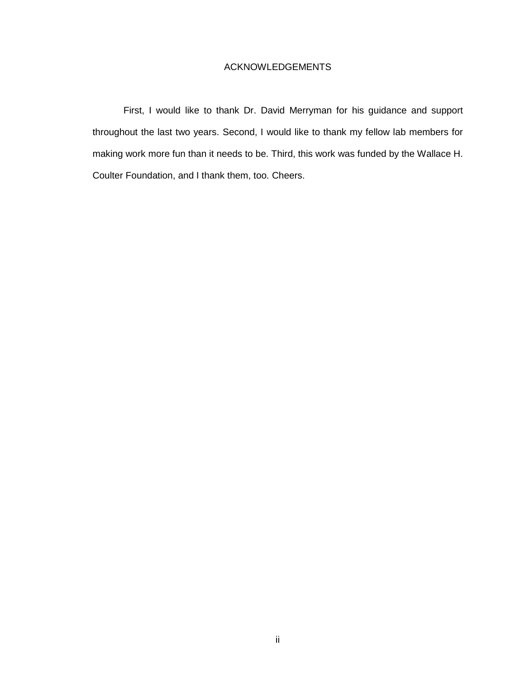# ACKNOWLEDGEMENTS

<span id="page-1-0"></span>First, I would like to thank Dr. David Merryman for his guidance and support throughout the last two years. Second, I would like to thank my fellow lab members for making work more fun than it needs to be. Third, this work was funded by the Wallace H. Coulter Foundation, and I thank them, too. Cheers.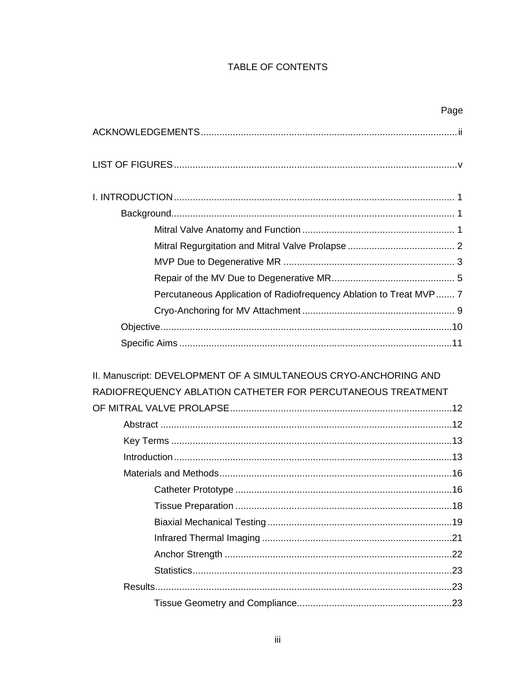# TABLE OF CONTENTS

|                                                                    | Page |
|--------------------------------------------------------------------|------|
|                                                                    |      |
|                                                                    |      |
|                                                                    |      |
|                                                                    |      |
|                                                                    |      |
|                                                                    |      |
|                                                                    |      |
|                                                                    |      |
| Percutaneous Application of Radiofrequency Ablation to Treat MVP 7 |      |
|                                                                    |      |
|                                                                    |      |
|                                                                    |      |
| II. Manuscript: DEVELOPMENT OF A SIMULTANEOUS CRYO-ANCHORING AND   |      |
| RADIOFREQUENCY ABLATION CATHETER FOR PERCUTANEOUS TREATMENT        |      |
|                                                                    |      |
|                                                                    |      |
|                                                                    |      |
|                                                                    |      |
|                                                                    |      |
| Catheter Prototype                                                 | .16  |
|                                                                    |      |
|                                                                    |      |
|                                                                    |      |
|                                                                    |      |
|                                                                    |      |
|                                                                    |      |
|                                                                    |      |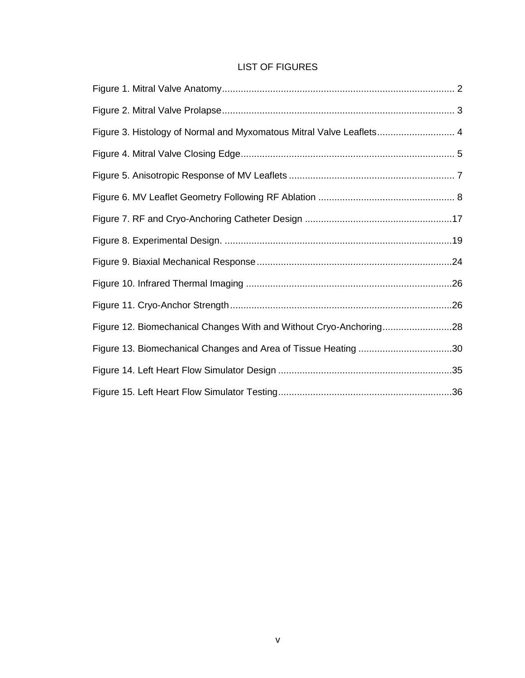# LIST OF FIGURES

<span id="page-4-0"></span>

| Figure 3. Histology of Normal and Myxomatous Mitral Valve Leaflets 4 |  |
|----------------------------------------------------------------------|--|
|                                                                      |  |
|                                                                      |  |
|                                                                      |  |
|                                                                      |  |
|                                                                      |  |
|                                                                      |  |
|                                                                      |  |
|                                                                      |  |
| Figure 12. Biomechanical Changes With and Without Cryo-Anchoring28   |  |
| Figure 13. Biomechanical Changes and Area of Tissue Heating 30       |  |
|                                                                      |  |
|                                                                      |  |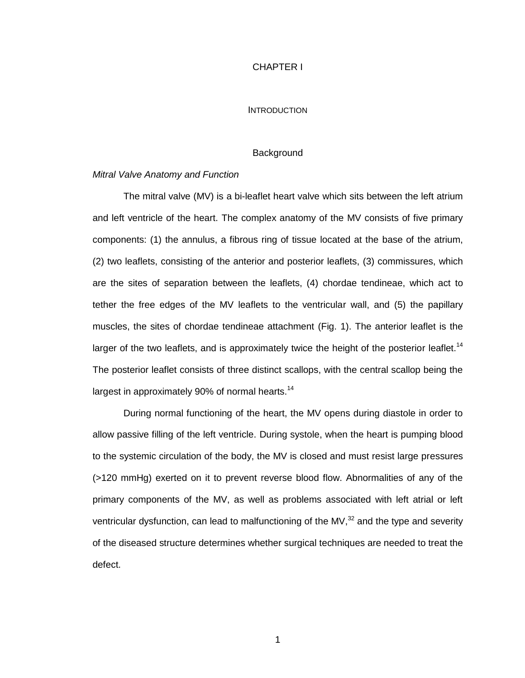# CHAPTER I

# **INTRODUCTION**

#### **Background**

# <span id="page-5-2"></span><span id="page-5-1"></span><span id="page-5-0"></span>*Mitral Valve Anatomy and Function*

The mitral valve (MV) is a bi-leaflet heart valve which sits between the left atrium and left ventricle of the heart. The complex anatomy of the MV consists of five primary components: (1) the annulus, a fibrous ring of tissue located at the base of the atrium, (2) two leaflets, consisting of the anterior and posterior leaflets, (3) commissures, which are the sites of separation between the leaflets, (4) chordae tendineae, which act to tether the free edges of the MV leaflets to the ventricular wall, and (5) the papillary muscles, the sites of chordae tendineae attachment (Fig. 1). The anterior leaflet is the larger of the two leaflets, and is approximately twice the height of the posterior leaflet.<sup>14</sup> The posterior leaflet consists of three distinct scallops, with the central scallop being the largest in approximately 90% of normal hearts.<sup>14</sup>

During normal functioning of the heart, the MV opens during diastole in order to allow passive filling of the left ventricle. During systole, when the heart is pumping blood to the systemic circulation of the body, the MV is closed and must resist large pressures (>120 mmHg) exerted on it to prevent reverse blood flow. Abnormalities of any of the primary components of the MV, as well as problems associated with left atrial or left ventricular dysfunction, can lead to malfunctioning of the MV, $32$  and the type and severity of the diseased structure determines whether surgical techniques are needed to treat the defect.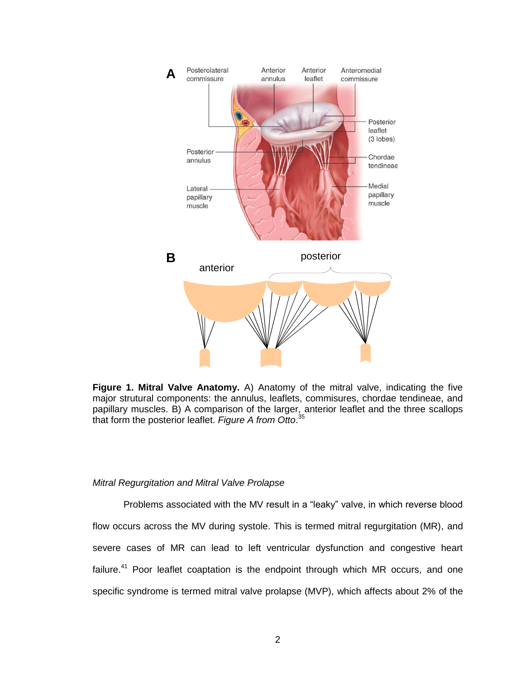

<span id="page-6-1"></span>**Figure 1. Mitral Valve Anatomy.** A) Anatomy of the mitral valve, indicating the five major strutural components: the annulus, leaflets, commisures, chordae tendineae, and papillary muscles. B) A comparison of the larger, anterior leaflet and the three scallops that form the posterior leaflet. *Figure A from Otto*. 35

# <span id="page-6-0"></span>*Mitral Regurgitation and Mitral Valve Prolapse*

Problems associated with the MV result in a "leaky" valve, in which reverse blood flow occurs across the MV during systole. This is termed mitral regurgitation (MR), and severe cases of MR can lead to left ventricular dysfunction and congestive heart failure.<sup>41</sup> Poor leaflet coaptation is the endpoint through which MR occurs, and one specific syndrome is termed mitral valve prolapse (MVP), which affects about 2% of the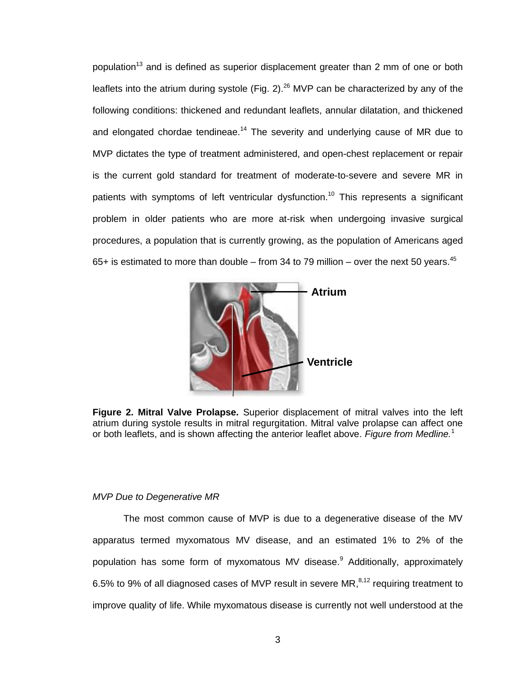population<sup>13</sup> and is defined as superior displacement greater than 2 mm of one or both leaflets into the atrium during systole (Fig. 2). $^{26}$  MVP can be characterized by any of the following conditions: thickened and redundant leaflets, annular dilatation, and thickened and elongated chordae tendineae.<sup>14</sup> The severity and underlying cause of MR due to MVP dictates the type of treatment administered, and open-chest replacement or repair is the current gold standard for treatment of moderate-to-severe and severe MR in patients with symptoms of left ventricular dysfunction.<sup>10</sup> This represents a significant problem in older patients who are more at-risk when undergoing invasive surgical procedures, a population that is currently growing, as the population of Americans aged 65+ is estimated to more than double – from 34 to 79 million – over the next 50 years.<sup>45</sup>



<span id="page-7-1"></span>**Figure 2. Mitral Valve Prolapse.** Superior displacement of mitral valves into the left atrium during systole results in mitral regurgitation. Mitral valve prolapse can affect one or both leaflets, and is shown affecting the anterior leaflet above. *Figure from Medline.*<sup>1</sup>

# <span id="page-7-0"></span>*MVP Due to Degenerative MR*

The most common cause of MVP is due to a degenerative disease of the MV apparatus termed myxomatous MV disease, and an estimated 1% to 2% of the population has some form of myxomatous MV disease.<sup>9</sup> Additionally, approximately 6.5% to 9% of all diagnosed cases of MVP result in severe MR, $^{8,12}$  requiring treatment to improve quality of life. While myxomatous disease is currently not well understood at the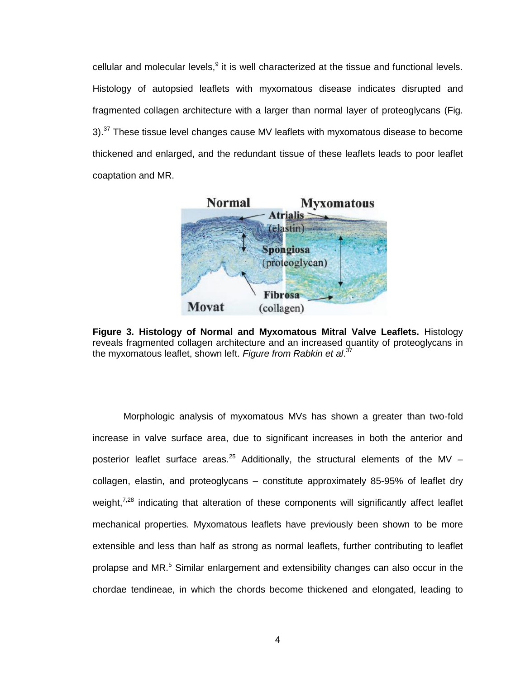cellular and molecular levels,<sup>9</sup> it is well characterized at the tissue and functional levels. Histology of autopsied leaflets with myxomatous disease indicates disrupted and fragmented collagen architecture with a larger than normal layer of proteoglycans (Fig. 3). $37$  These tissue level changes cause MV leaflets with myxomatous disease to become thickened and enlarged, and the redundant tissue of these leaflets leads to poor leaflet coaptation and MR.



<span id="page-8-0"></span>**Figure 3. Histology of Normal and Myxomatous Mitral Valve Leaflets.** Histology reveals fragmented collagen architecture and an increased quantity of proteoglycans in the myxomatous leaflet, shown left. *Figure from Rabkin et al*. 37

Morphologic analysis of myxomatous MVs has shown a greater than two-fold increase in valve surface area, due to significant increases in both the anterior and posterior leaflet surface areas.<sup>25</sup> Additionally, the structural elements of the MV – collagen, elastin, and proteoglycans – constitute approximately 85-95% of leaflet dry weight,<sup>7,28</sup> indicating that alteration of these components will significantly affect leaflet mechanical properties. Myxomatous leaflets have previously been shown to be more extensible and less than half as strong as normal leaflets, further contributing to leaflet prolapse and  $MR$ <sup>5</sup> Similar enlargement and extensibility changes can also occur in the chordae tendineae, in which the chords become thickened and elongated, leading to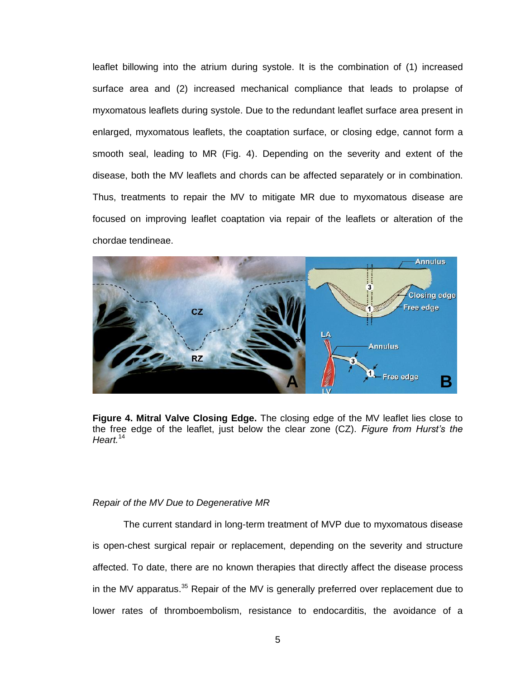leaflet billowing into the atrium during systole. It is the combination of (1) increased surface area and (2) increased mechanical compliance that leads to prolapse of myxomatous leaflets during systole. Due to the redundant leaflet surface area present in enlarged, myxomatous leaflets, the coaptation surface, or closing edge, cannot form a smooth seal, leading to MR (Fig. 4). Depending on the severity and extent of the disease, both the MV leaflets and chords can be affected separately or in combination. Thus, treatments to repair the MV to mitigate MR due to myxomatous disease are focused on improving leaflet coaptation via repair of the leaflets or alteration of the chordae tendineae.



<span id="page-9-1"></span>**Figure 4. Mitral Valve Closing Edge.** The closing edge of the MV leaflet lies close to the free edge of the leaflet, just below the clear zone (CZ). *Figure from Hurst's the Heart.*<sup>14</sup>

### <span id="page-9-0"></span>*Repair of the MV Due to Degenerative MR*

The current standard in long-term treatment of MVP due to myxomatous disease is open-chest surgical repair or replacement, depending on the severity and structure affected. To date, there are no known therapies that directly affect the disease process in the MV apparatus.<sup>35</sup> Repair of the MV is generally preferred over replacement due to lower rates of thromboembolism, resistance to endocarditis, the avoidance of a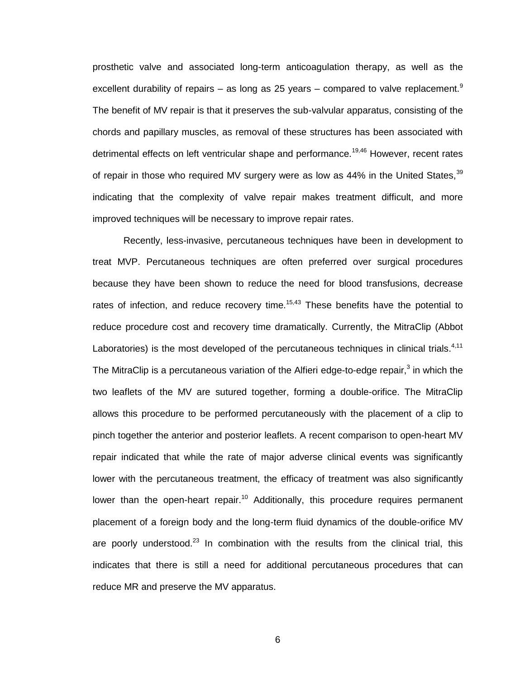prosthetic valve and associated long-term anticoagulation therapy, as well as the excellent durability of repairs – as long as 25 years – compared to valve replacement.<sup>9</sup> The benefit of MV repair is that it preserves the sub-valvular apparatus, consisting of the chords and papillary muscles, as removal of these structures has been associated with detrimental effects on left ventricular shape and performance.<sup>19,46</sup> However, recent rates of repair in those who required MV surgery were as low as 44% in the United States.  $39$ indicating that the complexity of valve repair makes treatment difficult, and more improved techniques will be necessary to improve repair rates.

Recently, less-invasive, percutaneous techniques have been in development to treat MVP. Percutaneous techniques are often preferred over surgical procedures because they have been shown to reduce the need for blood transfusions, decrease rates of infection, and reduce recovery time.<sup>15,43</sup> These benefits have the potential to reduce procedure cost and recovery time dramatically. Currently, the MitraClip (Abbot Laboratories) is the most developed of the percutaneous techniques in clinical trials.<sup>4,11</sup> The MitraClip is a percutaneous variation of the Alfieri edge-to-edge repair,<sup>3</sup> in which the two leaflets of the MV are sutured together, forming a double-orifice. The MitraClip allows this procedure to be performed percutaneously with the placement of a clip to pinch together the anterior and posterior leaflets. A recent comparison to open-heart MV repair indicated that while the rate of major adverse clinical events was significantly lower with the percutaneous treatment, the efficacy of treatment was also significantly lower than the open-heart repair.<sup>10</sup> Additionally, this procedure requires permanent placement of a foreign body and the long-term fluid dynamics of the double-orifice MV are poorly understood.<sup>23</sup> In combination with the results from the clinical trial, this indicates that there is still a need for additional percutaneous procedures that can reduce MR and preserve the MV apparatus.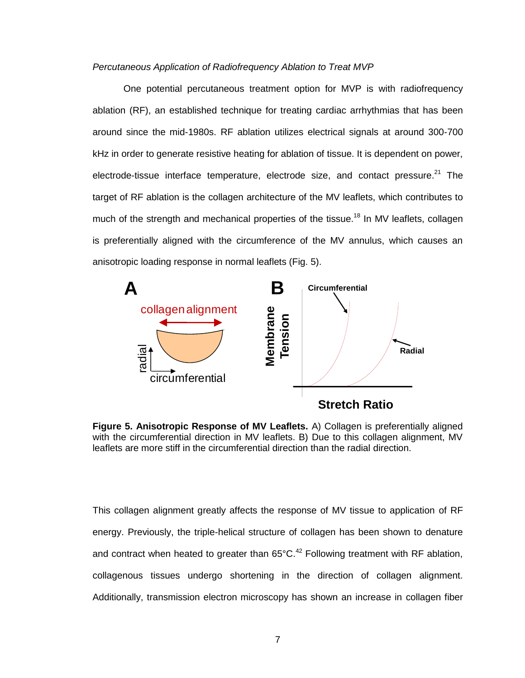### <span id="page-11-0"></span>*Percutaneous Application of Radiofrequency Ablation to Treat MVP*

One potential percutaneous treatment option for MVP is with radiofrequency ablation (RF), an established technique for treating cardiac arrhythmias that has been around since the mid-1980s. RF ablation utilizes electrical signals at around 300-700 kHz in order to generate resistive heating for ablation of tissue. It is dependent on power, electrode-tissue interface temperature, electrode size, and contact pressure.<sup>21</sup> The target of RF ablation is the collagen architecture of the MV leaflets, which contributes to much of the strength and mechanical properties of the tissue.<sup>18</sup> In MV leaflets, collagen is preferentially aligned with the circumference of the MV annulus, which causes an anisotropic loading response in normal leaflets (Fig. 5).



<span id="page-11-1"></span>**Figure 5. Anisotropic Response of MV Leaflets.** A) Collagen is preferentially aligned with the circumferential direction in MV leaflets. B) Due to this collagen alignment, MV leaflets are more stiff in the circumferential direction than the radial direction.

This collagen alignment greatly affects the response of MV tissue to application of RF energy. Previously, the triple-helical structure of collagen has been shown to denature and contract when heated to greater than  $65^{\circ}$ C.<sup>42</sup> Following treatment with RF ablation, collagenous tissues undergo shortening in the direction of collagen alignment. Additionally, transmission electron microscopy has shown an increase in collagen fiber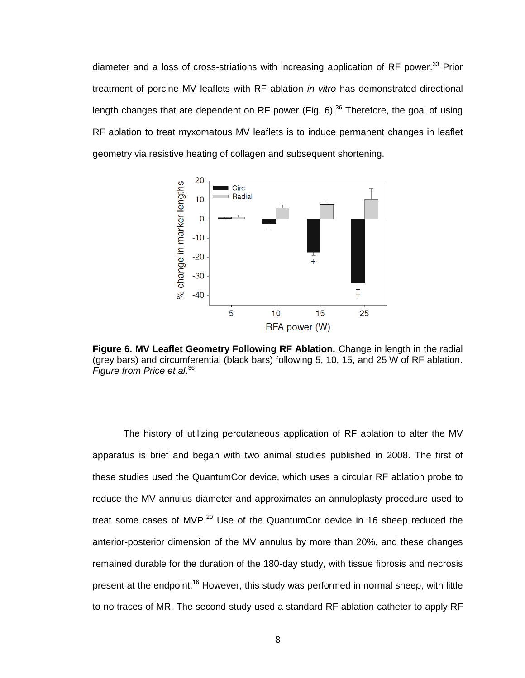diameter and a loss of cross-striations with increasing application of RF power.<sup>33</sup> Prior treatment of porcine MV leaflets with RF ablation *in vitro* has demonstrated directional length changes that are dependent on RF power (Fig. 6).<sup>36</sup> Therefore, the goal of using RF ablation to treat myxomatous MV leaflets is to induce permanent changes in leaflet geometry via resistive heating of collagen and subsequent shortening.



<span id="page-12-0"></span>**Figure 6. MV Leaflet Geometry Following RF Ablation.** Change in length in the radial (grey bars) and circumferential (black bars) following 5, 10, 15, and 25 W of RF ablation. *Figure from Price et al*. 36

The history of utilizing percutaneous application of RF ablation to alter the MV apparatus is brief and began with two animal studies published in 2008. The first of these studies used the QuantumCor device, which uses a circular RF ablation probe to reduce the MV annulus diameter and approximates an annuloplasty procedure used to treat some cases of MVP.<sup>20</sup> Use of the QuantumCor device in 16 sheep reduced the anterior-posterior dimension of the MV annulus by more than 20%, and these changes remained durable for the duration of the 180-day study, with tissue fibrosis and necrosis present at the endpoint.<sup>16</sup> However, this study was performed in normal sheep, with little to no traces of MR. The second study used a standard RF ablation catheter to apply RF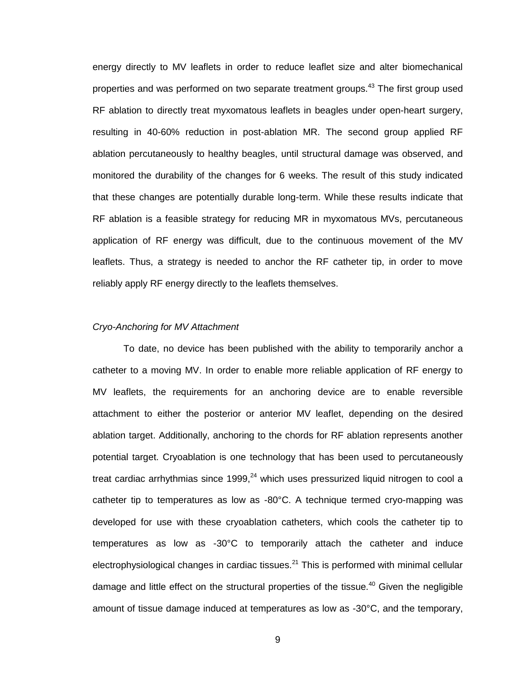energy directly to MV leaflets in order to reduce leaflet size and alter biomechanical properties and was performed on two separate treatment groups.<sup>43</sup> The first group used RF ablation to directly treat myxomatous leaflets in beagles under open-heart surgery, resulting in 40-60% reduction in post-ablation MR. The second group applied RF ablation percutaneously to healthy beagles, until structural damage was observed, and monitored the durability of the changes for 6 weeks. The result of this study indicated that these changes are potentially durable long-term. While these results indicate that RF ablation is a feasible strategy for reducing MR in myxomatous MVs, percutaneous application of RF energy was difficult, due to the continuous movement of the MV leaflets. Thus, a strategy is needed to anchor the RF catheter tip, in order to move reliably apply RF energy directly to the leaflets themselves.

# <span id="page-13-0"></span>*Cryo-Anchoring for MV Attachment*

To date, no device has been published with the ability to temporarily anchor a catheter to a moving MV. In order to enable more reliable application of RF energy to MV leaflets, the requirements for an anchoring device are to enable reversible attachment to either the posterior or anterior MV leaflet, depending on the desired ablation target. Additionally, anchoring to the chords for RF ablation represents another potential target. Cryoablation is one technology that has been used to percutaneously treat cardiac arrhythmias since 1999,<sup>24</sup> which uses pressurized liquid nitrogen to cool a catheter tip to temperatures as low as -80°C. A technique termed cryo-mapping was developed for use with these cryoablation catheters, which cools the catheter tip to temperatures as low as -30°C to temporarily attach the catheter and induce electrophysiological changes in cardiac tissues. $^{21}$  This is performed with minimal cellular damage and little effect on the structural properties of the tissue.<sup>40</sup> Given the negligible amount of tissue damage induced at temperatures as low as -30°C, and the temporary,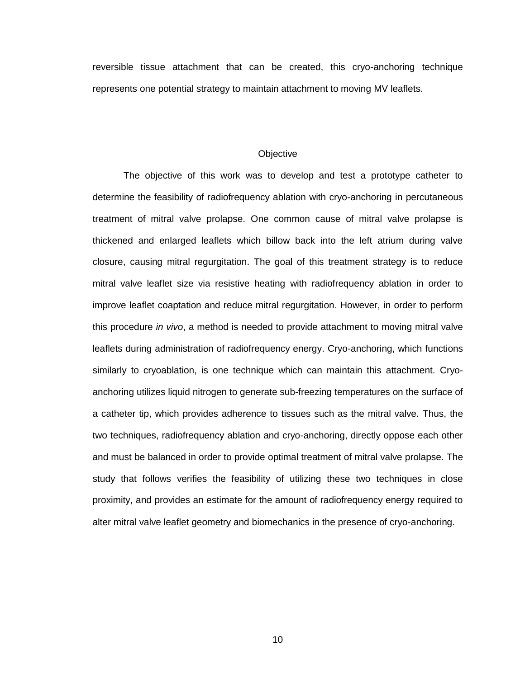reversible tissue attachment that can be created, this cryo-anchoring technique represents one potential strategy to maintain attachment to moving MV leaflets.

#### **Objective**

<span id="page-14-0"></span>The objective of this work was to develop and test a prototype catheter to determine the feasibility of radiofrequency ablation with cryo-anchoring in percutaneous treatment of mitral valve prolapse. One common cause of mitral valve prolapse is thickened and enlarged leaflets which billow back into the left atrium during valve closure, causing mitral regurgitation. The goal of this treatment strategy is to reduce mitral valve leaflet size via resistive heating with radiofrequency ablation in order to improve leaflet coaptation and reduce mitral regurgitation. However, in order to perform this procedure *in vivo*, a method is needed to provide attachment to moving mitral valve leaflets during administration of radiofrequency energy. Cryo-anchoring, which functions similarly to cryoablation, is one technique which can maintain this attachment. Cryoanchoring utilizes liquid nitrogen to generate sub-freezing temperatures on the surface of a catheter tip, which provides adherence to tissues such as the mitral valve. Thus, the two techniques, radiofrequency ablation and cryo-anchoring, directly oppose each other and must be balanced in order to provide optimal treatment of mitral valve prolapse. The study that follows verifies the feasibility of utilizing these two techniques in close proximity, and provides an estimate for the amount of radiofrequency energy required to alter mitral valve leaflet geometry and biomechanics in the presence of cryo-anchoring.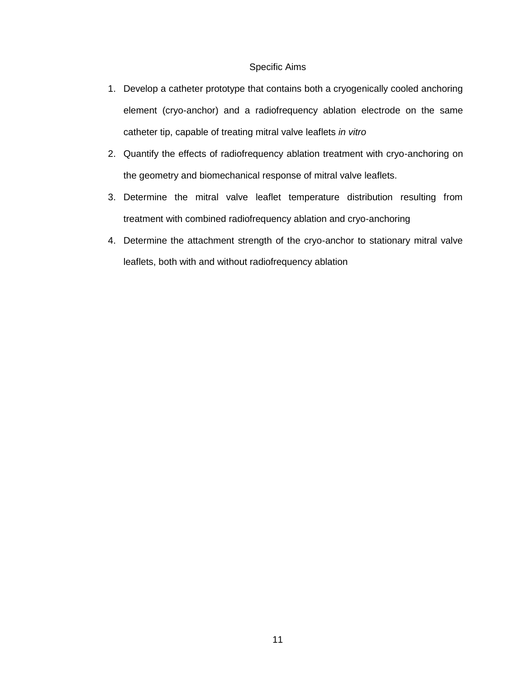# Specific Aims

- <span id="page-15-0"></span>1. Develop a catheter prototype that contains both a cryogenically cooled anchoring element (cryo-anchor) and a radiofrequency ablation electrode on the same catheter tip, capable of treating mitral valve leaflets *in vitro*
- 2. Quantify the effects of radiofrequency ablation treatment with cryo-anchoring on the geometry and biomechanical response of mitral valve leaflets.
- 3. Determine the mitral valve leaflet temperature distribution resulting from treatment with combined radiofrequency ablation and cryo-anchoring
- 4. Determine the attachment strength of the cryo-anchor to stationary mitral valve leaflets, both with and without radiofrequency ablation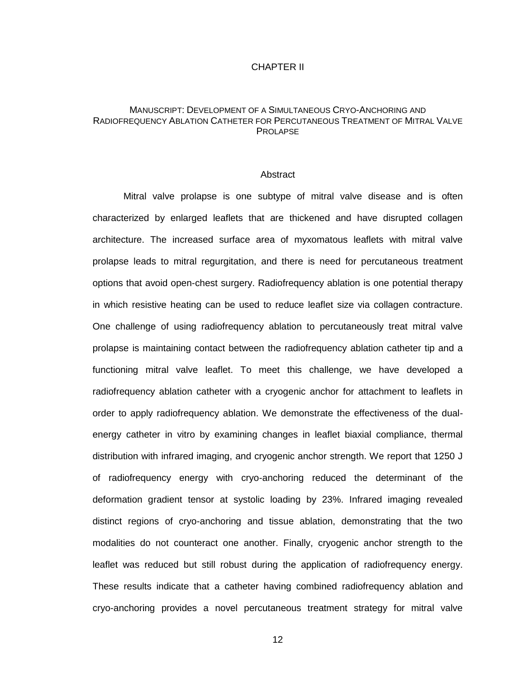### CHAPTER II

# <span id="page-16-0"></span>MANUSCRIPT: DEVELOPMENT OF A SIMULTANEOUS CRYO-ANCHORING AND RADIOFREQUENCY ABLATION CATHETER FOR PERCUTANEOUS TREATMENT OF MITRAL VALVE PROLAPSE

#### **Abstract**

<span id="page-16-1"></span>Mitral valve prolapse is one subtype of mitral valve disease and is often characterized by enlarged leaflets that are thickened and have disrupted collagen architecture. The increased surface area of myxomatous leaflets with mitral valve prolapse leads to mitral regurgitation, and there is need for percutaneous treatment options that avoid open-chest surgery. Radiofrequency ablation is one potential therapy in which resistive heating can be used to reduce leaflet size via collagen contracture. One challenge of using radiofrequency ablation to percutaneously treat mitral valve prolapse is maintaining contact between the radiofrequency ablation catheter tip and a functioning mitral valve leaflet. To meet this challenge, we have developed a radiofrequency ablation catheter with a cryogenic anchor for attachment to leaflets in order to apply radiofrequency ablation. We demonstrate the effectiveness of the dualenergy catheter in vitro by examining changes in leaflet biaxial compliance, thermal distribution with infrared imaging, and cryogenic anchor strength. We report that 1250 J of radiofrequency energy with cryo-anchoring reduced the determinant of the deformation gradient tensor at systolic loading by 23%. Infrared imaging revealed distinct regions of cryo-anchoring and tissue ablation, demonstrating that the two modalities do not counteract one another. Finally, cryogenic anchor strength to the leaflet was reduced but still robust during the application of radiofrequency energy. These results indicate that a catheter having combined radiofrequency ablation and cryo-anchoring provides a novel percutaneous treatment strategy for mitral valve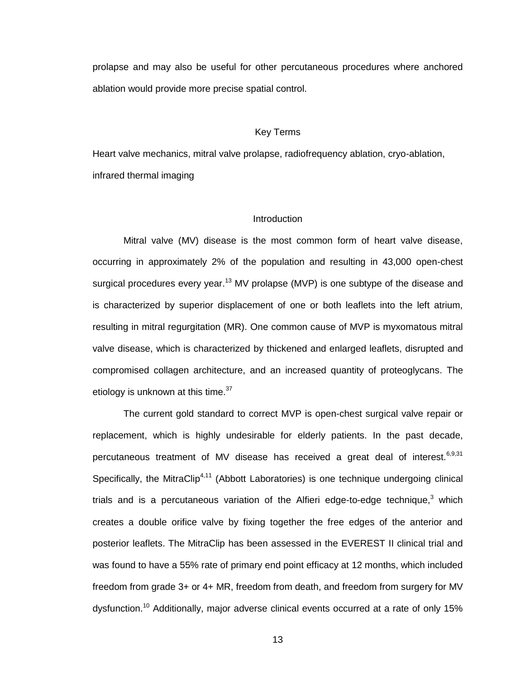prolapse and may also be useful for other percutaneous procedures where anchored ablation would provide more precise spatial control.

# Key Terms

<span id="page-17-0"></span>Heart valve mechanics, mitral valve prolapse, radiofrequency ablation, cryo-ablation, infrared thermal imaging

#### **Introduction**

<span id="page-17-1"></span>Mitral valve (MV) disease is the most common form of heart valve disease, occurring in approximately 2% of the population and resulting in 43,000 open-chest surgical procedures every year.<sup>13</sup> MV prolapse (MVP) is one subtype of the disease and is characterized by superior displacement of one or both leaflets into the left atrium, resulting in mitral regurgitation (MR). One common cause of MVP is myxomatous mitral valve disease, which is characterized by thickened and enlarged leaflets, disrupted and compromised collagen architecture, and an increased quantity of proteoglycans. The etiology is unknown at this time.<sup>37</sup>

The current gold standard to correct MVP is open-chest surgical valve repair or replacement, which is highly undesirable for elderly patients. In the past decade, percutaneous treatment of MV disease has received a great deal of interest.<sup>6,9,31</sup> Specifically, the MitraClip<sup>4,11</sup> (Abbott Laboratories) is one technique undergoing clinical trials and is a percutaneous variation of the Alfieri edge-to-edge technique,<sup>3</sup> which creates a double orifice valve by fixing together the free edges of the anterior and posterior leaflets. The MitraClip has been assessed in the EVEREST II clinical trial and was found to have a 55% rate of primary end point efficacy at 12 months, which included freedom from grade 3+ or 4+ MR, freedom from death, and freedom from surgery for MV dysfunction.<sup>10</sup> Additionally, major adverse clinical events occurred at a rate of only 15%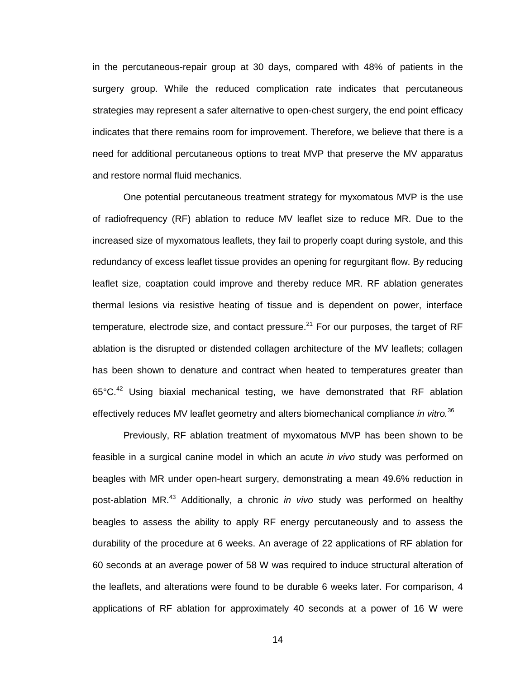in the percutaneous-repair group at 30 days, compared with 48% of patients in the surgery group. While the reduced complication rate indicates that percutaneous strategies may represent a safer alternative to open-chest surgery, the end point efficacy indicates that there remains room for improvement. Therefore, we believe that there is a need for additional percutaneous options to treat MVP that preserve the MV apparatus and restore normal fluid mechanics.

One potential percutaneous treatment strategy for myxomatous MVP is the use of radiofrequency (RF) ablation to reduce MV leaflet size to reduce MR. Due to the increased size of myxomatous leaflets, they fail to properly coapt during systole, and this redundancy of excess leaflet tissue provides an opening for regurgitant flow. By reducing leaflet size, coaptation could improve and thereby reduce MR. RF ablation generates thermal lesions via resistive heating of tissue and is dependent on power, interface temperature, electrode size, and contact pressure. $^{21}$  For our purposes, the target of RF ablation is the disrupted or distended collagen architecture of the MV leaflets; collagen has been shown to denature and contract when heated to temperatures greater than  $65^{\circ}$ C.<sup>42</sup> Using biaxial mechanical testing, we have demonstrated that RF ablation effectively reduces MV leaflet geometry and alters biomechanical compliance *in vitro.* 36

Previously, RF ablation treatment of myxomatous MVP has been shown to be feasible in a surgical canine model in which an acute *in vivo* study was performed on beagles with MR under open-heart surgery, demonstrating a mean 49.6% reduction in post-ablation MR. <sup>43</sup> Additionally, a chronic *in vivo* study was performed on healthy beagles to assess the ability to apply RF energy percutaneously and to assess the durability of the procedure at 6 weeks. An average of 22 applications of RF ablation for 60 seconds at an average power of 58 W was required to induce structural alteration of the leaflets, and alterations were found to be durable 6 weeks later. For comparison, 4 applications of RF ablation for approximately 40 seconds at a power of 16 W were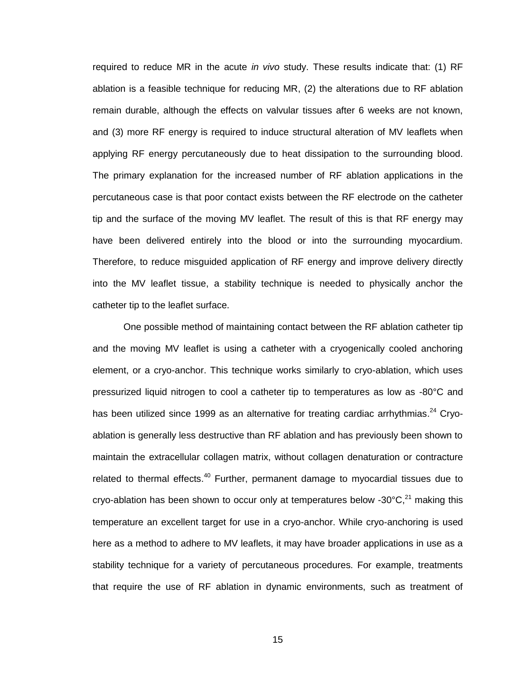required to reduce MR in the acute *in vivo* study. These results indicate that: (1) RF ablation is a feasible technique for reducing MR, (2) the alterations due to RF ablation remain durable, although the effects on valvular tissues after 6 weeks are not known, and (3) more RF energy is required to induce structural alteration of MV leaflets when applying RF energy percutaneously due to heat dissipation to the surrounding blood. The primary explanation for the increased number of RF ablation applications in the percutaneous case is that poor contact exists between the RF electrode on the catheter tip and the surface of the moving MV leaflet. The result of this is that RF energy may have been delivered entirely into the blood or into the surrounding myocardium. Therefore, to reduce misguided application of RF energy and improve delivery directly into the MV leaflet tissue, a stability technique is needed to physically anchor the catheter tip to the leaflet surface.

One possible method of maintaining contact between the RF ablation catheter tip and the moving MV leaflet is using a catheter with a cryogenically cooled anchoring element, or a cryo-anchor. This technique works similarly to cryo-ablation, which uses pressurized liquid nitrogen to cool a catheter tip to temperatures as low as -80°C and has been utilized since 1999 as an alternative for treating cardiac arrhythmias.<sup>24</sup> Cryoablation is generally less destructive than RF ablation and has previously been shown to maintain the extracellular collagen matrix, without collagen denaturation or contracture related to thermal effects.<sup>40</sup> Further, permanent damage to myocardial tissues due to cryo-ablation has been shown to occur only at temperatures below -30 $^{\circ}$ C,<sup>21</sup> making this temperature an excellent target for use in a cryo-anchor. While cryo-anchoring is used here as a method to adhere to MV leaflets, it may have broader applications in use as a stability technique for a variety of percutaneous procedures. For example, treatments that require the use of RF ablation in dynamic environments, such as treatment of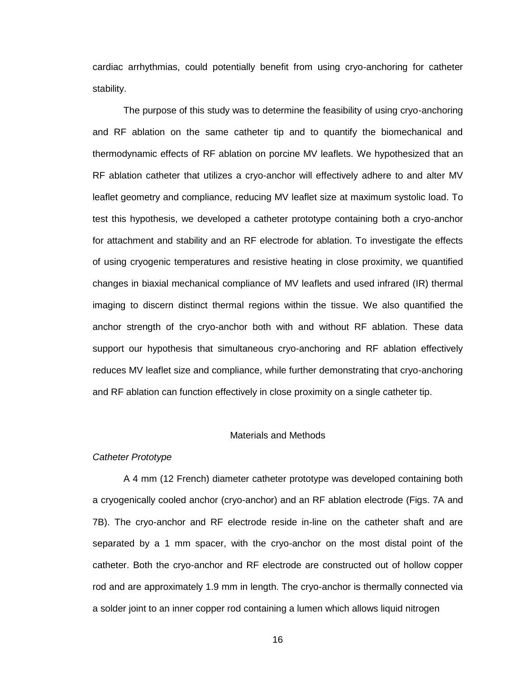cardiac arrhythmias, could potentially benefit from using cryo-anchoring for catheter stability.

The purpose of this study was to determine the feasibility of using cryo-anchoring and RF ablation on the same catheter tip and to quantify the biomechanical and thermodynamic effects of RF ablation on porcine MV leaflets. We hypothesized that an RF ablation catheter that utilizes a cryo-anchor will effectively adhere to and alter MV leaflet geometry and compliance, reducing MV leaflet size at maximum systolic load. To test this hypothesis, we developed a catheter prototype containing both a cryo-anchor for attachment and stability and an RF electrode for ablation. To investigate the effects of using cryogenic temperatures and resistive heating in close proximity, we quantified changes in biaxial mechanical compliance of MV leaflets and used infrared (IR) thermal imaging to discern distinct thermal regions within the tissue. We also quantified the anchor strength of the cryo-anchor both with and without RF ablation. These data support our hypothesis that simultaneous cryo-anchoring and RF ablation effectively reduces MV leaflet size and compliance, while further demonstrating that cryo-anchoring and RF ablation can function effectively in close proximity on a single catheter tip.

### Materials and Methods

# <span id="page-20-1"></span><span id="page-20-0"></span>*Catheter Prototype*

A 4 mm (12 French) diameter catheter prototype was developed containing both a cryogenically cooled anchor (cryo-anchor) and an RF ablation electrode (Figs. 7A and 7B). The cryo-anchor and RF electrode reside in-line on the catheter shaft and are separated by a 1 mm spacer, with the cryo-anchor on the most distal point of the catheter. Both the cryo-anchor and RF electrode are constructed out of hollow copper rod and are approximately 1.9 mm in length. The cryo-anchor is thermally connected via a solder joint to an inner copper rod containing a lumen which allows liquid nitrogen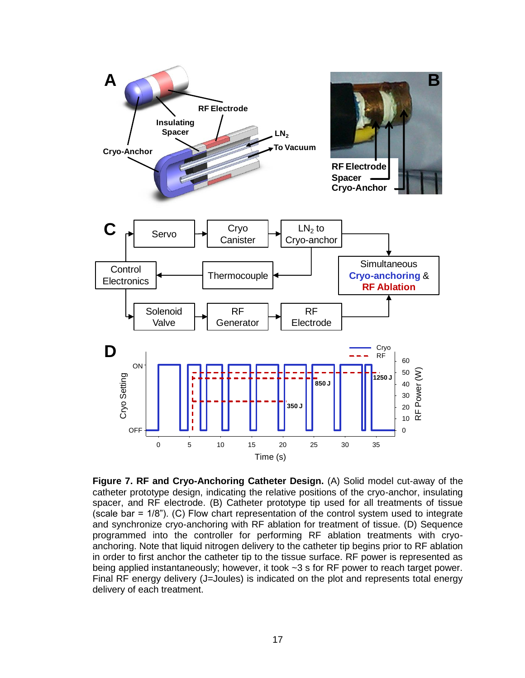

<span id="page-21-0"></span>**Figure 7. RF and Cryo-Anchoring Catheter Design.** (A) Solid model cut-away of the catheter prototype design, indicating the relative positions of the cryo-anchor, insulating spacer, and RF electrode. (B) Catheter prototype tip used for all treatments of tissue (scale bar = 1/8"). (C) Flow chart representation of the control system used to integrate and synchronize cryo-anchoring with RF ablation for treatment of tissue. (D) Sequence programmed into the controller for performing RF ablation treatments with cryoanchoring. Note that liquid nitrogen delivery to the catheter tip begins prior to RF ablation in order to first anchor the catheter tip to the tissue surface. RF power is represented as being applied instantaneously; however, it took ~3 s for RF power to reach target power. Final RF energy delivery (J=Joules) is indicated on the plot and represents total energy delivery of each treatment.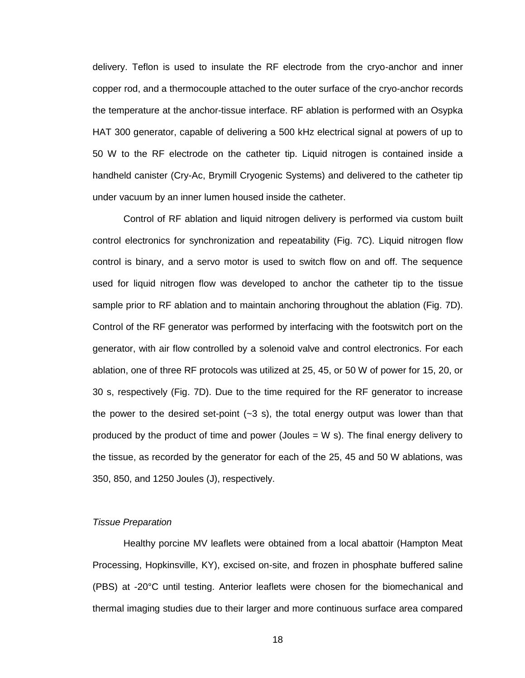delivery. Teflon is used to insulate the RF electrode from the cryo-anchor and inner copper rod, and a thermocouple attached to the outer surface of the cryo-anchor records the temperature at the anchor-tissue interface. RF ablation is performed with an Osypka HAT 300 generator, capable of delivering a 500 kHz electrical signal at powers of up to 50 W to the RF electrode on the catheter tip. Liquid nitrogen is contained inside a handheld canister (Cry-Ac, Brymill Cryogenic Systems) and delivered to the catheter tip under vacuum by an inner lumen housed inside the catheter.

Control of RF ablation and liquid nitrogen delivery is performed via custom built control electronics for synchronization and repeatability (Fig. 7C). Liquid nitrogen flow control is binary, and a servo motor is used to switch flow on and off. The sequence used for liquid nitrogen flow was developed to anchor the catheter tip to the tissue sample prior to RF ablation and to maintain anchoring throughout the ablation (Fig. 7D). Control of the RF generator was performed by interfacing with the footswitch port on the generator, with air flow controlled by a solenoid valve and control electronics. For each ablation, one of three RF protocols was utilized at 25, 45, or 50 W of power for 15, 20, or 30 s, respectively (Fig. 7D). Due to the time required for the RF generator to increase the power to the desired set-point  $(-3 \text{ s})$ , the total energy output was lower than that produced by the product of time and power (Joules  $= W$  s). The final energy delivery to the tissue, as recorded by the generator for each of the 25, 45 and 50 W ablations, was 350, 850, and 1250 Joules (J), respectively.

# <span id="page-22-0"></span>*Tissue Preparation*

Healthy porcine MV leaflets were obtained from a local abattoir (Hampton Meat Processing, Hopkinsville, KY), excised on-site, and frozen in phosphate buffered saline (PBS) at -20°C until testing. Anterior leaflets were chosen for the biomechanical and thermal imaging studies due to their larger and more continuous surface area compared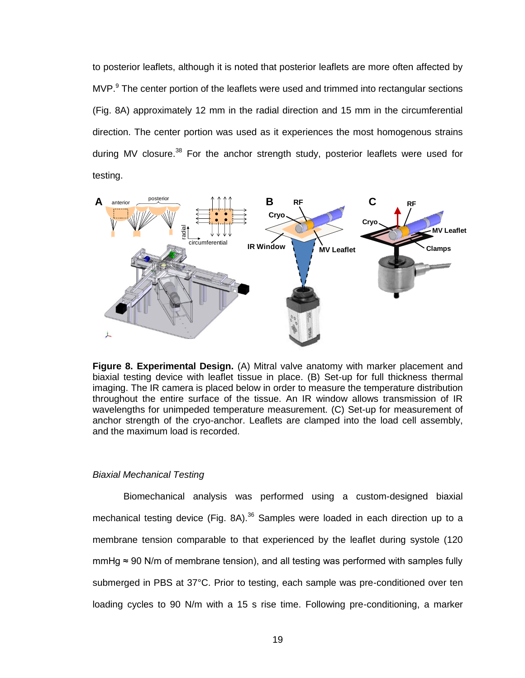to posterior leaflets, although it is noted that posterior leaflets are more often affected by  $MVP.<sup>9</sup>$  The center portion of the leaflets were used and trimmed into rectangular sections (Fig. 8A) approximately 12 mm in the radial direction and 15 mm in the circumferential direction. The center portion was used as it experiences the most homogenous strains during MV closure.<sup>38</sup> For the anchor strength study, posterior leaflets were used for testing.



<span id="page-23-1"></span>**Figure 8. Experimental Design.** (A) Mitral valve anatomy with marker placement and biaxial testing device with leaflet tissue in place. (B) Set-up for full thickness thermal imaging. The IR camera is placed below in order to measure the temperature distribution throughout the entire surface of the tissue. An IR window allows transmission of IR wavelengths for unimpeded temperature measurement. (C) Set-up for measurement of anchor strength of the cryo-anchor. Leaflets are clamped into the load cell assembly, and the maximum load is recorded.

#### <span id="page-23-0"></span>*Biaxial Mechanical Testing*

Biomechanical analysis was performed using a custom-designed biaxial mechanical testing device (Fig. 8A).<sup>36</sup> Samples were loaded in each direction up to a membrane tension comparable to that experienced by the leaflet during systole (120 mmHg  $\approx$  90 N/m of membrane tension), and all testing was performed with samples fully submerged in PBS at 37°C. Prior to testing, each sample was pre-conditioned over ten loading cycles to 90 N/m with a 15 s rise time. Following pre-conditioning, a marker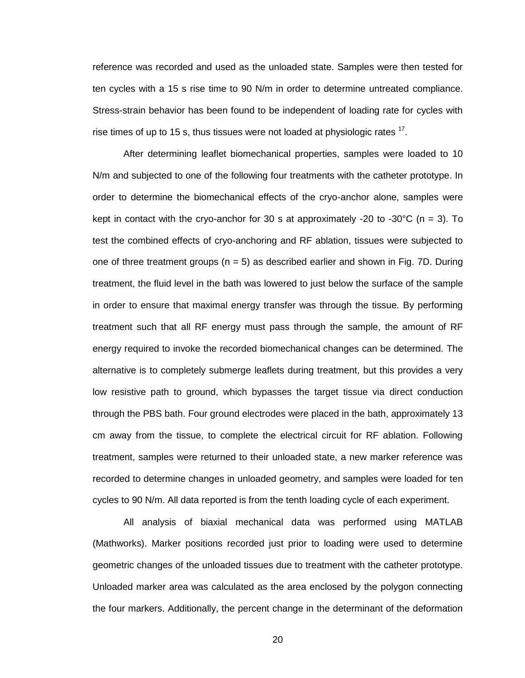reference was recorded and used as the unloaded state. Samples were then tested for ten cycles with a 15 s rise time to 90 N/m in order to determine untreated compliance. Stress-strain behavior has been found to be independent of loading rate for cycles with rise times of up to 15 s, thus tissues were not loaded at physiologic rates  $17$ .

After determining leaflet biomechanical properties, samples were loaded to 10 N/m and subjected to one of the following four treatments with the catheter prototype. In order to determine the biomechanical effects of the cryo-anchor alone, samples were kept in contact with the cryo-anchor for 30 s at approximately -20 to -30 $\degree$ C (n = 3). To test the combined effects of cryo-anchoring and RF ablation, tissues were subjected to one of three treatment groups ( $n = 5$ ) as described earlier and shown in Fig. 7D. During treatment, the fluid level in the bath was lowered to just below the surface of the sample in order to ensure that maximal energy transfer was through the tissue. By performing treatment such that all RF energy must pass through the sample, the amount of RF energy required to invoke the recorded biomechanical changes can be determined. The alternative is to completely submerge leaflets during treatment, but this provides a very low resistive path to ground, which bypasses the target tissue via direct conduction through the PBS bath. Four ground electrodes were placed in the bath, approximately 13 cm away from the tissue, to complete the electrical circuit for RF ablation. Following treatment, samples were returned to their unloaded state, a new marker reference was recorded to determine changes in unloaded geometry, and samples were loaded for ten cycles to 90 N/m. All data reported is from the tenth loading cycle of each experiment.

All analysis of biaxial mechanical data was performed using MATLAB (Mathworks). Marker positions recorded just prior to loading were used to determine geometric changes of the unloaded tissues due to treatment with the catheter prototype. Unloaded marker area was calculated as the area enclosed by the polygon connecting the four markers. Additionally, the percent change in the determinant of the deformation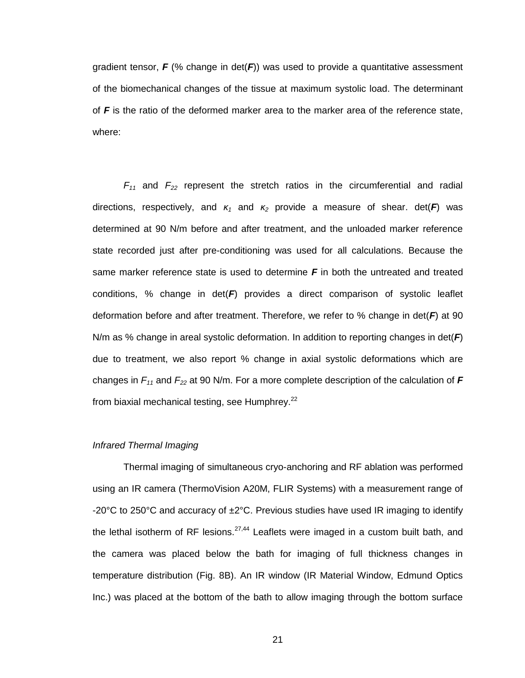gradient tensor,  $F$  (% change in  $det(F)$ ) was used to provide a quantitative assessment of the biomechanical changes of the tissue at maximum systolic load. The determinant of *F* is the ratio of the deformed marker area to the marker area of the reference state, where:

 $F_{11}$  and  $F_{22}$  represent the stretch ratios in the circumferential and radial directions, respectively, and *κ<sup>1</sup>* and *κ<sup>2</sup>* provide a measure of shear. det(*F*) was determined at 90 N/m before and after treatment, and the unloaded marker reference state recorded just after pre-conditioning was used for all calculations. Because the same marker reference state is used to determine *F* in both the untreated and treated conditions, % change in det(*F*) provides a direct comparison of systolic leaflet deformation before and after treatment. Therefore, we refer to % change in det(*F*) at 90 N/m as % change in areal systolic deformation. In addition to reporting changes in det(*F*) due to treatment, we also report % change in axial systolic deformations which are changes in *F<sup>11</sup>* and *F<sup>22</sup>* at 90 N/m. For a more complete description of the calculation of *F* from biaxial mechanical testing, see Humphrey.<sup>22</sup>

#### <span id="page-25-0"></span>*Infrared Thermal Imaging*

Thermal imaging of simultaneous cryo-anchoring and RF ablation was performed using an IR camera (ThermoVision A20M, FLIR Systems) with a measurement range of -20°C to 250°C and accuracy of ±2°C. Previous studies have used IR imaging to identify the lethal isotherm of RF lesions. $27,44$  Leaflets were imaged in a custom built bath, and the camera was placed below the bath for imaging of full thickness changes in temperature distribution (Fig. 8B). An IR window (IR Material Window, Edmund Optics Inc.) was placed at the bottom of the bath to allow imaging through the bottom surface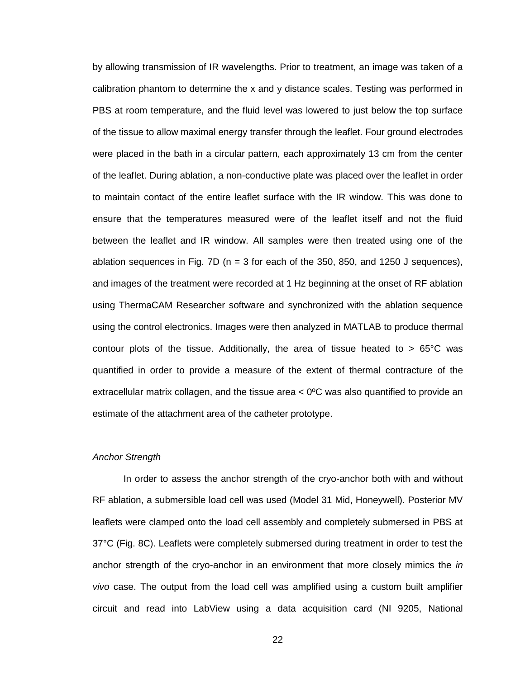by allowing transmission of IR wavelengths. Prior to treatment, an image was taken of a calibration phantom to determine the x and y distance scales. Testing was performed in PBS at room temperature, and the fluid level was lowered to just below the top surface of the tissue to allow maximal energy transfer through the leaflet. Four ground electrodes were placed in the bath in a circular pattern, each approximately 13 cm from the center of the leaflet. During ablation, a non-conductive plate was placed over the leaflet in order to maintain contact of the entire leaflet surface with the IR window. This was done to ensure that the temperatures measured were of the leaflet itself and not the fluid between the leaflet and IR window. All samples were then treated using one of the ablation sequences in Fig. 7D ( $n = 3$  for each of the 350, 850, and 1250 J sequences), and images of the treatment were recorded at 1 Hz beginning at the onset of RF ablation using ThermaCAM Researcher software and synchronized with the ablation sequence using the control electronics. Images were then analyzed in MATLAB to produce thermal contour plots of the tissue. Additionally, the area of tissue heated to  $> 65^{\circ}$ C was quantified in order to provide a measure of the extent of thermal contracture of the extracellular matrix collagen, and the tissue area  $< 0^{\circ}$ C was also quantified to provide an estimate of the attachment area of the catheter prototype.

# <span id="page-26-0"></span>*Anchor Strength*

In order to assess the anchor strength of the cryo-anchor both with and without RF ablation, a submersible load cell was used (Model 31 Mid, Honeywell). Posterior MV leaflets were clamped onto the load cell assembly and completely submersed in PBS at 37°C (Fig. 8C). Leaflets were completely submersed during treatment in order to test the anchor strength of the cryo-anchor in an environment that more closely mimics the *in vivo* case. The output from the load cell was amplified using a custom built amplifier circuit and read into LabView using a data acquisition card (NI 9205, National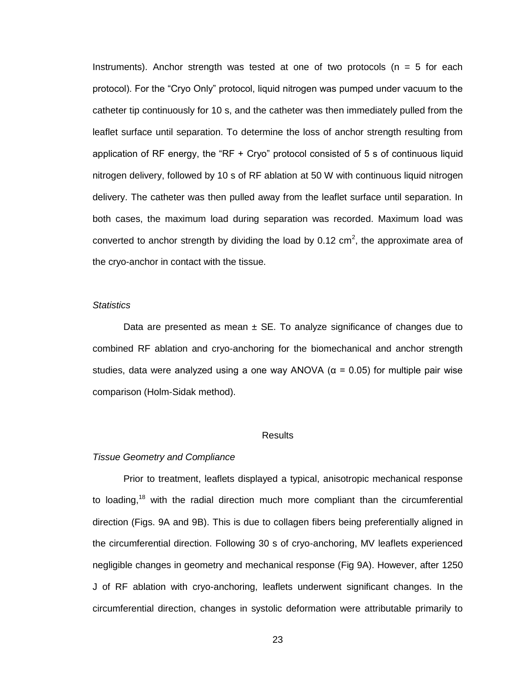Instruments). Anchor strength was tested at one of two protocols ( $n = 5$  for each protocol). For the "Cryo Only" protocol, liquid nitrogen was pumped under vacuum to the catheter tip continuously for 10 s, and the catheter was then immediately pulled from the leaflet surface until separation. To determine the loss of anchor strength resulting from application of RF energy, the "RF + Cryo" protocol consisted of 5 s of continuous liquid nitrogen delivery, followed by 10 s of RF ablation at 50 W with continuous liquid nitrogen delivery. The catheter was then pulled away from the leaflet surface until separation. In both cases, the maximum load during separation was recorded. Maximum load was converted to anchor strength by dividing the load by 0.12 cm<sup>2</sup>, the approximate area of the cryo-anchor in contact with the tissue.

### <span id="page-27-0"></span>*Statistics*

Data are presented as mean  $\pm$  SE. To analyze significance of changes due to combined RF ablation and cryo-anchoring for the biomechanical and anchor strength studies, data were analyzed using a one way ANOVA ( $\alpha$  = 0.05) for multiple pair wise comparison (Holm-Sidak method).

### **Results**

# <span id="page-27-2"></span><span id="page-27-1"></span>*Tissue Geometry and Compliance*

Prior to treatment, leaflets displayed a typical, anisotropic mechanical response to loading,<sup>18</sup> with the radial direction much more compliant than the circumferential direction (Figs. 9A and 9B). This is due to collagen fibers being preferentially aligned in the circumferential direction. Following 30 s of cryo-anchoring, MV leaflets experienced negligible changes in geometry and mechanical response (Fig 9A). However, after 1250 J of RF ablation with cryo-anchoring, leaflets underwent significant changes. In the circumferential direction, changes in systolic deformation were attributable primarily to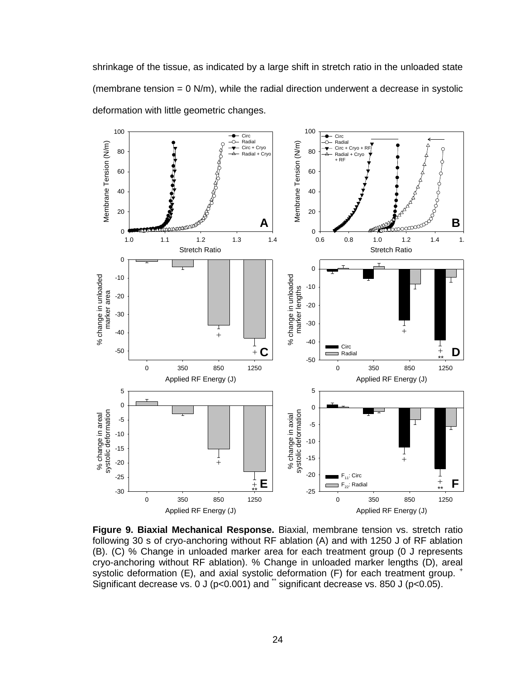shrinkage of the tissue, as indicated by a large shift in stretch ratio in the unloaded state (membrane tension =  $0$  N/m), while the radial direction underwent a decrease in systolic deformation with little geometric changes.



<span id="page-28-0"></span>**Figure 9. Biaxial Mechanical Response.** Biaxial, membrane tension vs. stretch ratio following 30 s of cryo-anchoring without RF ablation (A) and with 1250 J of RF ablation (B). (C) % Change in unloaded marker area for each treatment group (0 J represents cryo-anchoring without RF ablation). % Change in unloaded marker lengths (D), areal systolic deformation (E), and axial systolic deformation (F) for each treatment group. <sup>+</sup> Significant decrease vs. 0 J ( $p<0.001$ ) and  $\ddot{\,}$  significant decrease vs. 850 J ( $p<0.05$ ).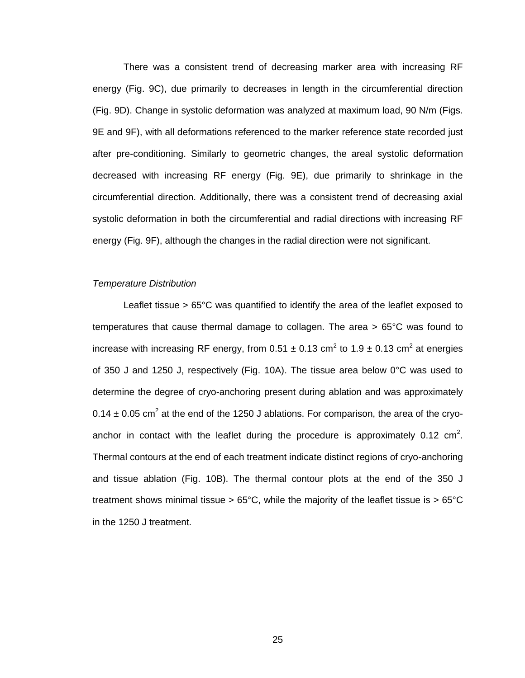There was a consistent trend of decreasing marker area with increasing RF energy (Fig. 9C), due primarily to decreases in length in the circumferential direction (Fig. 9D). Change in systolic deformation was analyzed at maximum load, 90 N/m (Figs. 9E and 9F), with all deformations referenced to the marker reference state recorded just after pre-conditioning. Similarly to geometric changes, the areal systolic deformation decreased with increasing RF energy (Fig. 9E), due primarily to shrinkage in the circumferential direction. Additionally, there was a consistent trend of decreasing axial systolic deformation in both the circumferential and radial directions with increasing RF energy (Fig. 9F), although the changes in the radial direction were not significant.

# <span id="page-29-0"></span>*Temperature Distribution*

Leaflet tissue > 65°C was quantified to identify the area of the leaflet exposed to temperatures that cause thermal damage to collagen. The area > 65°C was found to increase with increasing RF energy, from 0.51  $\pm$  0.13 cm<sup>2</sup> to 1.9  $\pm$  0.13 cm<sup>2</sup> at energies of 350 J and 1250 J, respectively (Fig. 10A). The tissue area below 0°C was used to determine the degree of cryo-anchoring present during ablation and was approximately 0.14  $\pm$  0.05 cm<sup>2</sup> at the end of the 1250 J ablations. For comparison, the area of the cryoanchor in contact with the leaflet during the procedure is approximately 0.12  $cm<sup>2</sup>$ . Thermal contours at the end of each treatment indicate distinct regions of cryo-anchoring and tissue ablation (Fig. 10B). The thermal contour plots at the end of the 350 J treatment shows minimal tissue >  $65^{\circ}$ C, while the majority of the leaflet tissue is >  $65^{\circ}$ C in the 1250 J treatment.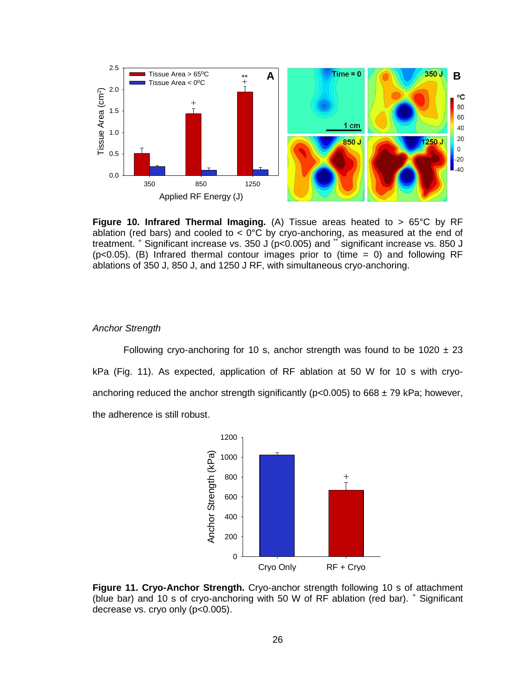

<span id="page-30-1"></span>**Figure 10. Infrared Thermal Imaging.** (A) Tissue areas heated to > 65°C by RF ablation (red bars) and cooled to  $<$  0°C by cryo-anchoring, as measured at the end of treatment. <sup>+</sup> Significant increase vs. 350 J (p<0.005) and \*\* significant increase vs. 850 J (p<0.05). (B) Infrared thermal contour images prior to (time = 0) and following RF ablations of 350 J, 850 J, and 1250 J RF, with simultaneous cryo-anchoring.

#### <span id="page-30-0"></span>*Anchor Strength*

Following cryo-anchoring for 10 s, anchor strength was found to be 1020  $\pm$  23 kPa (Fig. 11). As expected, application of RF ablation at 50 W for 10 s with cryoanchoring reduced the anchor strength significantly ( $p < 0.005$ ) to 668  $\pm$  79 kPa; however, the adherence is still robust.



<span id="page-30-2"></span>**Figure 11. Cryo-Anchor Strength.** Cryo-anchor strength following 10 s of attachment (blue bar) and 10 s of cryo-anchoring with 50 W of RF ablation (red bar).  $^+$  Significant decrease vs. cryo only (p<0.005).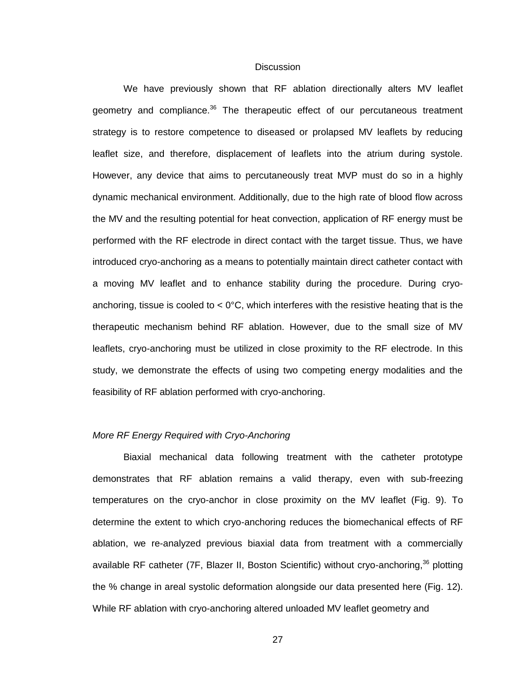### **Discussion**

<span id="page-31-0"></span>We have previously shown that RF ablation directionally alters MV leaflet geometry and compliance.<sup>36</sup> The therapeutic effect of our percutaneous treatment strategy is to restore competence to diseased or prolapsed MV leaflets by reducing leaflet size, and therefore, displacement of leaflets into the atrium during systole. However, any device that aims to percutaneously treat MVP must do so in a highly dynamic mechanical environment. Additionally, due to the high rate of blood flow across the MV and the resulting potential for heat convection, application of RF energy must be performed with the RF electrode in direct contact with the target tissue. Thus, we have introduced cryo-anchoring as a means to potentially maintain direct catheter contact with a moving MV leaflet and to enhance stability during the procedure. During cryoanchoring, tissue is cooled to  $< 0^{\circ}$ C, which interferes with the resistive heating that is the therapeutic mechanism behind RF ablation. However, due to the small size of MV leaflets, cryo-anchoring must be utilized in close proximity to the RF electrode. In this study, we demonstrate the effects of using two competing energy modalities and the feasibility of RF ablation performed with cryo-anchoring.

# <span id="page-31-1"></span>*More RF Energy Required with Cryo-Anchoring*

Biaxial mechanical data following treatment with the catheter prototype demonstrates that RF ablation remains a valid therapy, even with sub-freezing temperatures on the cryo-anchor in close proximity on the MV leaflet (Fig. 9). To determine the extent to which cryo-anchoring reduces the biomechanical effects of RF ablation, we re-analyzed previous biaxial data from treatment with a commercially available RF catheter (7F, Blazer II, Boston Scientific) without cryo-anchoring,<sup>36</sup> plotting the % change in areal systolic deformation alongside our data presented here (Fig. 12). While RF ablation with cryo-anchoring altered unloaded MV leaflet geometry and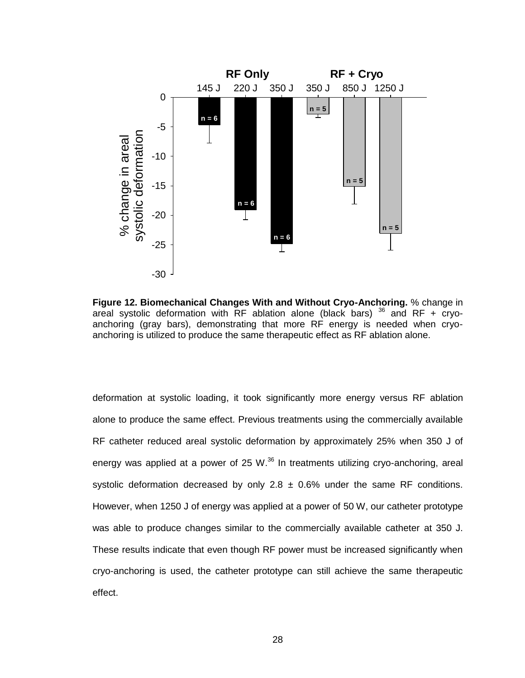

<span id="page-32-0"></span>**Figure 12. Biomechanical Changes With and Without Cryo-Anchoring.** % change in areal systolic deformation with  $RF$  ablation alone (black bars)  $36$  and  $RF + cryo$ anchoring (gray bars), demonstrating that more RF energy is needed when cryoanchoring is utilized to produce the same therapeutic effect as RF ablation alone.

deformation at systolic loading, it took significantly more energy versus RF ablation alone to produce the same effect. Previous treatments using the commercially available RF catheter reduced areal systolic deformation by approximately 25% when 350 J of energy was applied at a power of 25 W. $^{36}$  In treatments utilizing cryo-anchoring, areal systolic deformation decreased by only 2.8  $\pm$  0.6% under the same RF conditions. However, when 1250 J of energy was applied at a power of 50 W, our catheter prototype was able to produce changes similar to the commercially available catheter at 350 J. These results indicate that even though RF power must be increased significantly when cryo-anchoring is used, the catheter prototype can still achieve the same therapeutic effect.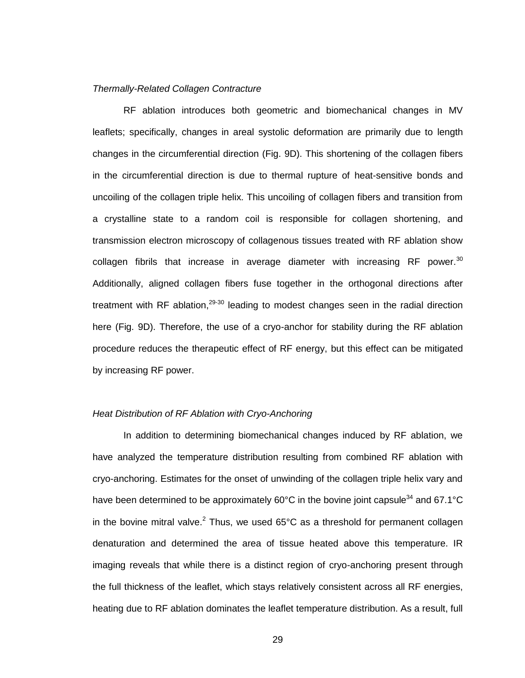#### <span id="page-33-0"></span>*Thermally-Related Collagen Contracture*

RF ablation introduces both geometric and biomechanical changes in MV leaflets; specifically, changes in areal systolic deformation are primarily due to length changes in the circumferential direction (Fig. 9D). This shortening of the collagen fibers in the circumferential direction is due to thermal rupture of heat-sensitive bonds and uncoiling of the collagen triple helix. This uncoiling of collagen fibers and transition from a crystalline state to a random coil is responsible for collagen shortening, and transmission electron microscopy of collagenous tissues treated with RF ablation show collagen fibrils that increase in average diameter with increasing RF power.<sup>30</sup> Additionally, aligned collagen fibers fuse together in the orthogonal directions after treatment with RF ablation, $29-30$  leading to modest changes seen in the radial direction here (Fig. 9D). Therefore, the use of a cryo-anchor for stability during the RF ablation procedure reduces the therapeutic effect of RF energy, but this effect can be mitigated by increasing RF power.

### <span id="page-33-1"></span>*Heat Distribution of RF Ablation with Cryo-Anchoring*

In addition to determining biomechanical changes induced by RF ablation, we have analyzed the temperature distribution resulting from combined RF ablation with cryo-anchoring. Estimates for the onset of unwinding of the collagen triple helix vary and have been determined to be approximately 60°C in the bovine joint capsule<sup>34</sup> and 67.1°C in the bovine mitral valve.<sup>2</sup> Thus, we used 65°C as a threshold for permanent collagen denaturation and determined the area of tissue heated above this temperature. IR imaging reveals that while there is a distinct region of cryo-anchoring present through the full thickness of the leaflet, which stays relatively consistent across all RF energies, heating due to RF ablation dominates the leaflet temperature distribution. As a result, full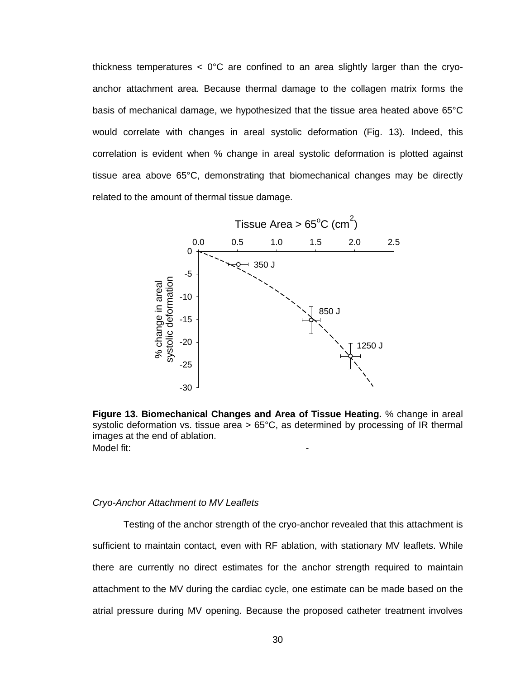thickness temperatures  $\langle 0^{\circ}C \rangle$  are confined to an area slightly larger than the cryoanchor attachment area. Because thermal damage to the collagen matrix forms the basis of mechanical damage, we hypothesized that the tissue area heated above 65°C would correlate with changes in areal systolic deformation (Fig. 13). Indeed, this correlation is evident when % change in areal systolic deformation is plotted against tissue area above 65°C, demonstrating that biomechanical changes may be directly related to the amount of thermal tissue damage.



<span id="page-34-1"></span>**Figure 13. Biomechanical Changes and Area of Tissue Heating.** % change in areal systolic deformation vs. tissue area  $> 65^{\circ}$ C, as determined by processing of IR thermal images at the end of ablation. Model fit<sup>-</sup>

#### <span id="page-34-0"></span>*Cryo-Anchor Attachment to MV Leaflets*

Testing of the anchor strength of the cryo-anchor revealed that this attachment is sufficient to maintain contact, even with RF ablation, with stationary MV leaflets. While there are currently no direct estimates for the anchor strength required to maintain attachment to the MV during the cardiac cycle, one estimate can be made based on the atrial pressure during MV opening. Because the proposed catheter treatment involves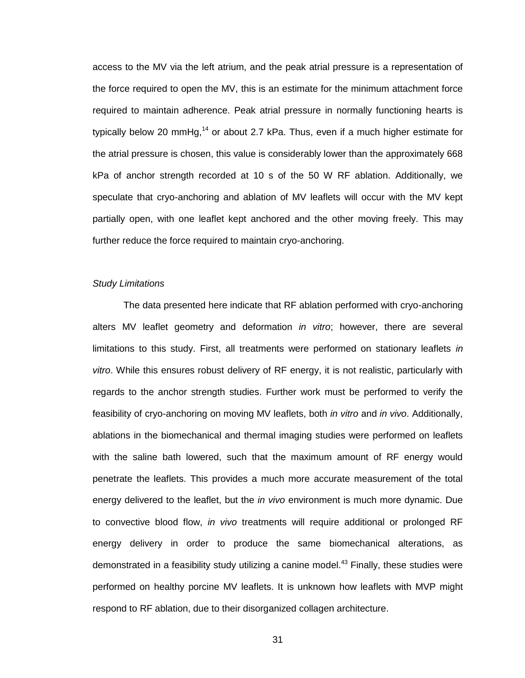access to the MV via the left atrium, and the peak atrial pressure is a representation of the force required to open the MV, this is an estimate for the minimum attachment force required to maintain adherence. Peak atrial pressure in normally functioning hearts is typically below 20 mmHg,<sup>14</sup> or about 2.7 kPa. Thus, even if a much higher estimate for the atrial pressure is chosen, this value is considerably lower than the approximately 668 kPa of anchor strength recorded at 10 s of the 50 W RF ablation. Additionally, we speculate that cryo-anchoring and ablation of MV leaflets will occur with the MV kept partially open, with one leaflet kept anchored and the other moving freely. This may further reduce the force required to maintain cryo-anchoring.

# <span id="page-35-0"></span>*Study Limitations*

The data presented here indicate that RF ablation performed with cryo-anchoring alters MV leaflet geometry and deformation *in vitro*; however, there are several limitations to this study. First, all treatments were performed on stationary leaflets *in vitro*. While this ensures robust delivery of RF energy, it is not realistic, particularly with regards to the anchor strength studies. Further work must be performed to verify the feasibility of cryo-anchoring on moving MV leaflets, both *in vitro* and *in vivo*. Additionally, ablations in the biomechanical and thermal imaging studies were performed on leaflets with the saline bath lowered, such that the maximum amount of RF energy would penetrate the leaflets. This provides a much more accurate measurement of the total energy delivered to the leaflet, but the *in vivo* environment is much more dynamic. Due to convective blood flow, *in vivo* treatments will require additional or prolonged RF energy delivery in order to produce the same biomechanical alterations, as demonstrated in a feasibility study utilizing a canine model.<sup>43</sup> Finally, these studies were performed on healthy porcine MV leaflets. It is unknown how leaflets with MVP might respond to RF ablation, due to their disorganized collagen architecture.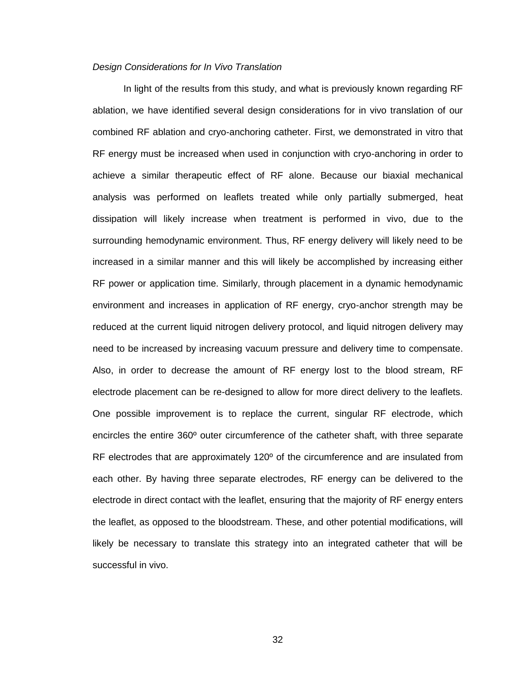# <span id="page-36-0"></span>*Design Considerations for In Vivo Translation*

In light of the results from this study, and what is previously known regarding RF ablation, we have identified several design considerations for in vivo translation of our combined RF ablation and cryo-anchoring catheter. First, we demonstrated in vitro that RF energy must be increased when used in conjunction with cryo-anchoring in order to achieve a similar therapeutic effect of RF alone. Because our biaxial mechanical analysis was performed on leaflets treated while only partially submerged, heat dissipation will likely increase when treatment is performed in vivo, due to the surrounding hemodynamic environment. Thus, RF energy delivery will likely need to be increased in a similar manner and this will likely be accomplished by increasing either RF power or application time. Similarly, through placement in a dynamic hemodynamic environment and increases in application of RF energy, cryo-anchor strength may be reduced at the current liquid nitrogen delivery protocol, and liquid nitrogen delivery may need to be increased by increasing vacuum pressure and delivery time to compensate. Also, in order to decrease the amount of RF energy lost to the blood stream, RF electrode placement can be re-designed to allow for more direct delivery to the leaflets. One possible improvement is to replace the current, singular RF electrode, which encircles the entire 360º outer circumference of the catheter shaft, with three separate RF electrodes that are approximately 120° of the circumference and are insulated from each other. By having three separate electrodes, RF energy can be delivered to the electrode in direct contact with the leaflet, ensuring that the majority of RF energy enters the leaflet, as opposed to the bloodstream. These, and other potential modifications, will likely be necessary to translate this strategy into an integrated catheter that will be successful in vivo.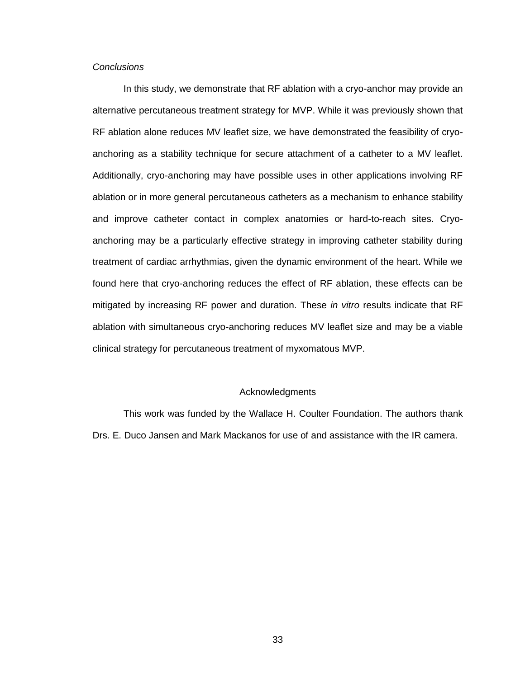# <span id="page-37-0"></span>*Conclusions*

In this study, we demonstrate that RF ablation with a cryo-anchor may provide an alternative percutaneous treatment strategy for MVP. While it was previously shown that RF ablation alone reduces MV leaflet size, we have demonstrated the feasibility of cryoanchoring as a stability technique for secure attachment of a catheter to a MV leaflet. Additionally, cryo-anchoring may have possible uses in other applications involving RF ablation or in more general percutaneous catheters as a mechanism to enhance stability and improve catheter contact in complex anatomies or hard-to-reach sites. Cryoanchoring may be a particularly effective strategy in improving catheter stability during treatment of cardiac arrhythmias, given the dynamic environment of the heart. While we found here that cryo-anchoring reduces the effect of RF ablation, these effects can be mitigated by increasing RF power and duration. These *in vitro* results indicate that RF ablation with simultaneous cryo-anchoring reduces MV leaflet size and may be a viable clinical strategy for percutaneous treatment of myxomatous MVP.

### Acknowledgments

<span id="page-37-1"></span>This work was funded by the Wallace H. Coulter Foundation. The authors thank Drs. E. Duco Jansen and Mark Mackanos for use of and assistance with the IR camera.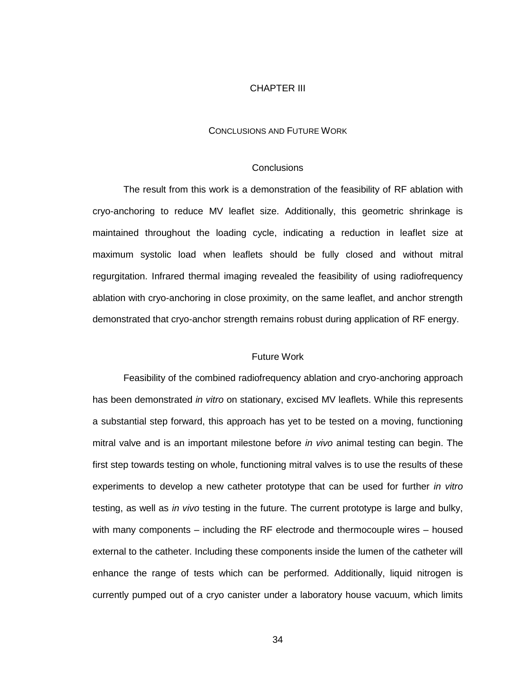#### CHAPTER III

#### CONCLUSIONS AND FUTURE WORK

#### **Conclusions**

<span id="page-38-1"></span><span id="page-38-0"></span>The result from this work is a demonstration of the feasibility of RF ablation with cryo-anchoring to reduce MV leaflet size. Additionally, this geometric shrinkage is maintained throughout the loading cycle, indicating a reduction in leaflet size at maximum systolic load when leaflets should be fully closed and without mitral regurgitation. Infrared thermal imaging revealed the feasibility of using radiofrequency ablation with cryo-anchoring in close proximity, on the same leaflet, and anchor strength demonstrated that cryo-anchor strength remains robust during application of RF energy.

### Future Work

<span id="page-38-2"></span>Feasibility of the combined radiofrequency ablation and cryo-anchoring approach has been demonstrated *in vitro* on stationary, excised MV leaflets. While this represents a substantial step forward, this approach has yet to be tested on a moving, functioning mitral valve and is an important milestone before *in vivo* animal testing can begin. The first step towards testing on whole, functioning mitral valves is to use the results of these experiments to develop a new catheter prototype that can be used for further *in vitro* testing, as well as *in vivo* testing in the future. The current prototype is large and bulky, with many components – including the RF electrode and thermocouple wires – housed external to the catheter. Including these components inside the lumen of the catheter will enhance the range of tests which can be performed. Additionally, liquid nitrogen is currently pumped out of a cryo canister under a laboratory house vacuum, which limits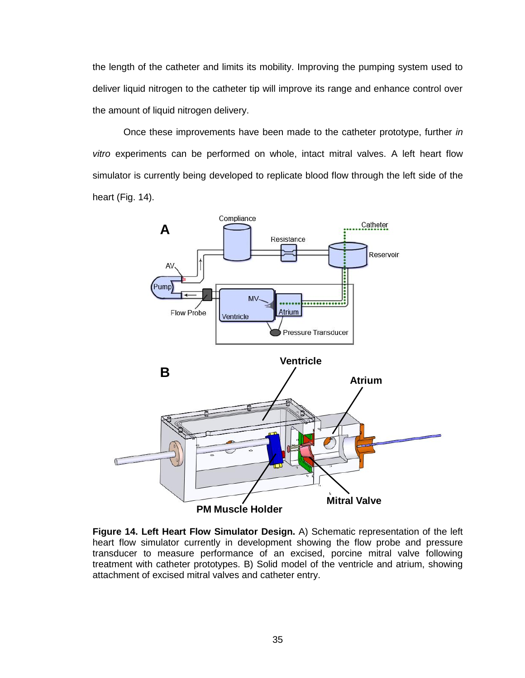the length of the catheter and limits its mobility. Improving the pumping system used to deliver liquid nitrogen to the catheter tip will improve its range and enhance control over the amount of liquid nitrogen delivery.

Once these improvements have been made to the catheter prototype, further *in vitro* experiments can be performed on whole, intact mitral valves. A left heart flow simulator is currently being developed to replicate blood flow through the left side of the heart (Fig. 14).



<span id="page-39-0"></span>**Figure 14. Left Heart Flow Simulator Design.** A) Schematic representation of the left heart flow simulator currently in development showing the flow probe and pressure transducer to measure performance of an excised, porcine mitral valve following treatment with catheter prototypes. B) Solid model of the ventricle and atrium, showing attachment of excised mitral valves and catheter entry.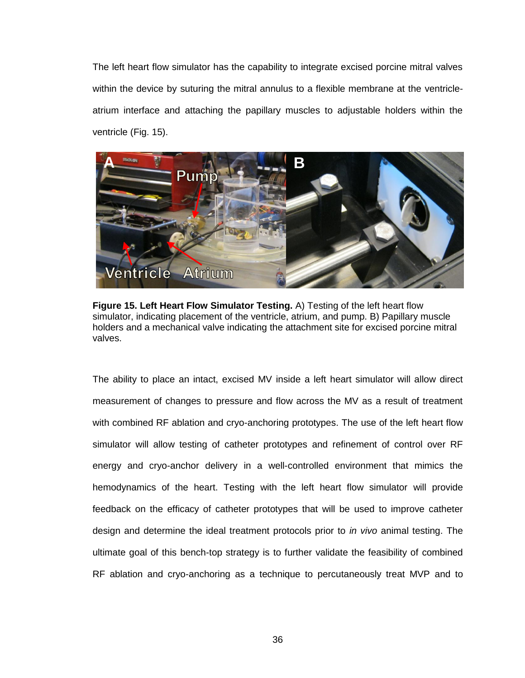The left heart flow simulator has the capability to integrate excised porcine mitral valves within the device by suturing the mitral annulus to a flexible membrane at the ventricleatrium interface and attaching the papillary muscles to adjustable holders within the ventricle (Fig. 15).



**Figure 15. Left Heart Flow Simulator Testing.** A) Testing of the left heart flow simulator, indicating placement of the ventricle, atrium, and pump. B) Papillary muscle holders and a mechanical valve indicating the attachment site for excised porcine mitral valves.

<span id="page-40-0"></span>The ability to place an intact, excised MV inside a left heart simulator will allow direct measurement of changes to pressure and flow across the MV as a result of treatment with combined RF ablation and cryo-anchoring prototypes. The use of the left heart flow simulator will allow testing of catheter prototypes and refinement of control over RF energy and cryo-anchor delivery in a well-controlled environment that mimics the hemodynamics of the heart. Testing with the left heart flow simulator will provide feedback on the efficacy of catheter prototypes that will be used to improve catheter design and determine the ideal treatment protocols prior to *in vivo* animal testing. The ultimate goal of this bench-top strategy is to further validate the feasibility of combined RF ablation and cryo-anchoring as a technique to percutaneously treat MVP and to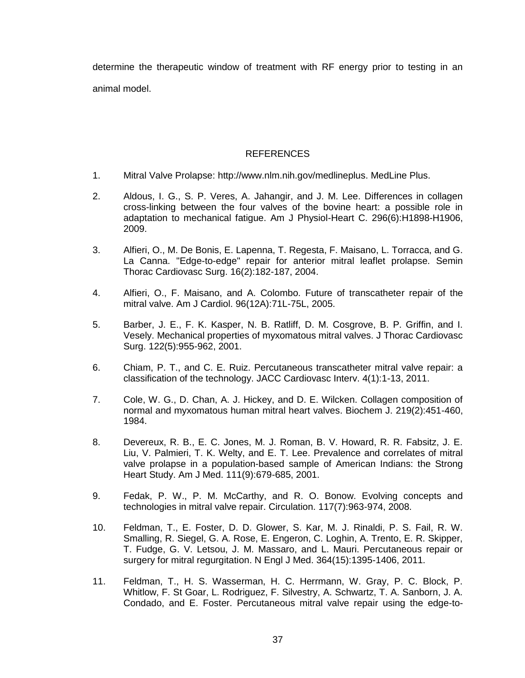determine the therapeutic window of treatment with RF energy prior to testing in an animal model.

# REFERENCES

- <span id="page-41-0"></span>1. Mitral Valve Prolapse: http://www.nlm.nih.gov/medlineplus. MedLine Plus.
- 2. Aldous, I. G., S. P. Veres, A. Jahangir, and J. M. Lee. Differences in collagen cross-linking between the four valves of the bovine heart: a possible role in adaptation to mechanical fatigue. Am J Physiol-Heart C. 296(6):H1898-H1906, 2009.
- 3. Alfieri, O., M. De Bonis, E. Lapenna, T. Regesta, F. Maisano, L. Torracca, and G. La Canna. "Edge-to-edge" repair for anterior mitral leaflet prolapse. Semin Thorac Cardiovasc Surg. 16(2):182-187, 2004.
- 4. Alfieri, O., F. Maisano, and A. Colombo. Future of transcatheter repair of the mitral valve. Am J Cardiol. 96(12A):71L-75L, 2005.
- 5. Barber, J. E., F. K. Kasper, N. B. Ratliff, D. M. Cosgrove, B. P. Griffin, and I. Vesely. Mechanical properties of myxomatous mitral valves. J Thorac Cardiovasc Surg. 122(5):955-962, 2001.
- 6. Chiam, P. T., and C. E. Ruiz. Percutaneous transcatheter mitral valve repair: a classification of the technology. JACC Cardiovasc Interv. 4(1):1-13, 2011.
- 7. Cole, W. G., D. Chan, A. J. Hickey, and D. E. Wilcken. Collagen composition of normal and myxomatous human mitral heart valves. Biochem J. 219(2):451-460, 1984.
- 8. Devereux, R. B., E. C. Jones, M. J. Roman, B. V. Howard, R. R. Fabsitz, J. E. Liu, V. Palmieri, T. K. Welty, and E. T. Lee. Prevalence and correlates of mitral valve prolapse in a population-based sample of American Indians: the Strong Heart Study. Am J Med. 111(9):679-685, 2001.
- 9. Fedak, P. W., P. M. McCarthy, and R. O. Bonow. Evolving concepts and technologies in mitral valve repair. Circulation. 117(7):963-974, 2008.
- 10. Feldman, T., E. Foster, D. D. Glower, S. Kar, M. J. Rinaldi, P. S. Fail, R. W. Smalling, R. Siegel, G. A. Rose, E. Engeron, C. Loghin, A. Trento, E. R. Skipper, T. Fudge, G. V. Letsou, J. M. Massaro, and L. Mauri. Percutaneous repair or surgery for mitral regurgitation. N Engl J Med. 364(15):1395-1406, 2011.
- 11. Feldman, T., H. S. Wasserman, H. C. Herrmann, W. Gray, P. C. Block, P. Whitlow, F. St Goar, L. Rodriguez, F. Silvestry, A. Schwartz, T. A. Sanborn, J. A. Condado, and E. Foster. Percutaneous mitral valve repair using the edge-to-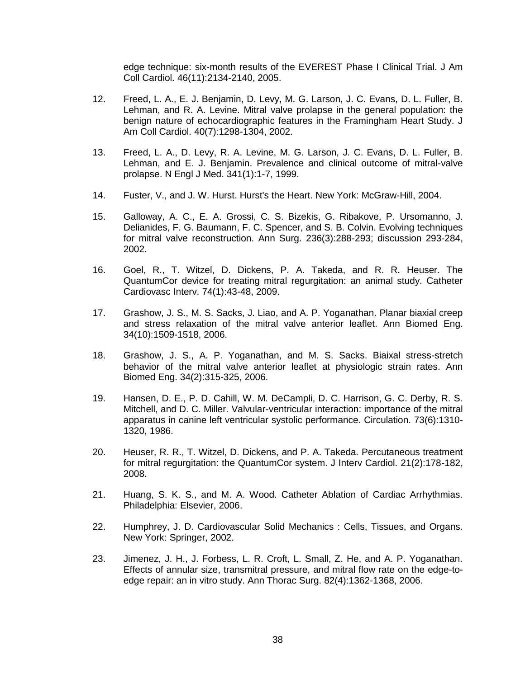edge technique: six-month results of the EVEREST Phase I Clinical Trial. J Am Coll Cardiol. 46(11):2134-2140, 2005.

- 12. Freed, L. A., E. J. Benjamin, D. Levy, M. G. Larson, J. C. Evans, D. L. Fuller, B. Lehman, and R. A. Levine. Mitral valve prolapse in the general population: the benign nature of echocardiographic features in the Framingham Heart Study. J Am Coll Cardiol. 40(7):1298-1304, 2002.
- 13. Freed, L. A., D. Levy, R. A. Levine, M. G. Larson, J. C. Evans, D. L. Fuller, B. Lehman, and E. J. Benjamin. Prevalence and clinical outcome of mitral-valve prolapse. N Engl J Med. 341(1):1-7, 1999.
- 14. Fuster, V., and J. W. Hurst. Hurst's the Heart. New York: McGraw-Hill, 2004.
- 15. Galloway, A. C., E. A. Grossi, C. S. Bizekis, G. Ribakove, P. Ursomanno, J. Delianides, F. G. Baumann, F. C. Spencer, and S. B. Colvin. Evolving techniques for mitral valve reconstruction. Ann Surg. 236(3):288-293; discussion 293-284, 2002.
- 16. Goel, R., T. Witzel, D. Dickens, P. A. Takeda, and R. R. Heuser. The QuantumCor device for treating mitral regurgitation: an animal study. Catheter Cardiovasc Interv. 74(1):43-48, 2009.
- 17. Grashow, J. S., M. S. Sacks, J. Liao, and A. P. Yoganathan. Planar biaxial creep and stress relaxation of the mitral valve anterior leaflet. Ann Biomed Eng. 34(10):1509-1518, 2006.
- 18. Grashow, J. S., A. P. Yoganathan, and M. S. Sacks. Biaixal stress-stretch behavior of the mitral valve anterior leaflet at physiologic strain rates. Ann Biomed Eng. 34(2):315-325, 2006.
- 19. Hansen, D. E., P. D. Cahill, W. M. DeCampli, D. C. Harrison, G. C. Derby, R. S. Mitchell, and D. C. Miller. Valvular-ventricular interaction: importance of the mitral apparatus in canine left ventricular systolic performance. Circulation. 73(6):1310- 1320, 1986.
- 20. Heuser, R. R., T. Witzel, D. Dickens, and P. A. Takeda. Percutaneous treatment for mitral regurgitation: the QuantumCor system. J Interv Cardiol. 21(2):178-182, 2008.
- 21. Huang, S. K. S., and M. A. Wood. Catheter Ablation of Cardiac Arrhythmias. Philadelphia: Elsevier, 2006.
- 22. Humphrey, J. D. Cardiovascular Solid Mechanics : Cells, Tissues, and Organs. New York: Springer, 2002.
- 23. Jimenez, J. H., J. Forbess, L. R. Croft, L. Small, Z. He, and A. P. Yoganathan. Effects of annular size, transmitral pressure, and mitral flow rate on the edge-toedge repair: an in vitro study. Ann Thorac Surg. 82(4):1362-1368, 2006.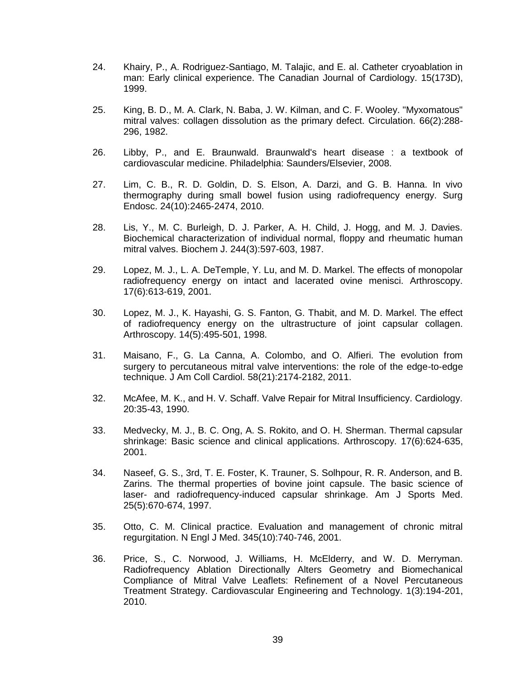- 24. Khairy, P., A. Rodriguez-Santiago, M. Talajic, and E. al. Catheter cryoablation in man: Early clinical experience. The Canadian Journal of Cardiology. 15(173D), 1999.
- 25. King, B. D., M. A. Clark, N. Baba, J. W. Kilman, and C. F. Wooley. "Myxomatous" mitral valves: collagen dissolution as the primary defect. Circulation. 66(2):288- 296, 1982.
- 26. Libby, P., and E. Braunwald. Braunwald's heart disease : a textbook of cardiovascular medicine. Philadelphia: Saunders/Elsevier, 2008.
- 27. Lim, C. B., R. D. Goldin, D. S. Elson, A. Darzi, and G. B. Hanna. In vivo thermography during small bowel fusion using radiofrequency energy. Surg Endosc. 24(10):2465-2474, 2010.
- 28. Lis, Y., M. C. Burleigh, D. J. Parker, A. H. Child, J. Hogg, and M. J. Davies. Biochemical characterization of individual normal, floppy and rheumatic human mitral valves. Biochem J. 244(3):597-603, 1987.
- 29. Lopez, M. J., L. A. DeTemple, Y. Lu, and M. D. Markel. The effects of monopolar radiofrequency energy on intact and lacerated ovine menisci. Arthroscopy. 17(6):613-619, 2001.
- 30. Lopez, M. J., K. Hayashi, G. S. Fanton, G. Thabit, and M. D. Markel. The effect of radiofrequency energy on the ultrastructure of joint capsular collagen. Arthroscopy. 14(5):495-501, 1998.
- 31. Maisano, F., G. La Canna, A. Colombo, and O. Alfieri. The evolution from surgery to percutaneous mitral valve interventions: the role of the edge-to-edge technique. J Am Coll Cardiol. 58(21):2174-2182, 2011.
- 32. McAfee, M. K., and H. V. Schaff. Valve Repair for Mitral Insufficiency. Cardiology. 20:35-43, 1990.
- 33. Medvecky, M. J., B. C. Ong, A. S. Rokito, and O. H. Sherman. Thermal capsular shrinkage: Basic science and clinical applications. Arthroscopy. 17(6):624-635, 2001.
- 34. Naseef, G. S., 3rd, T. E. Foster, K. Trauner, S. Solhpour, R. R. Anderson, and B. Zarins. The thermal properties of bovine joint capsule. The basic science of laser- and radiofrequency-induced capsular shrinkage. Am J Sports Med. 25(5):670-674, 1997.
- 35. Otto, C. M. Clinical practice. Evaluation and management of chronic mitral regurgitation. N Engl J Med. 345(10):740-746, 2001.
- 36. Price, S., C. Norwood, J. Williams, H. McElderry, and W. D. Merryman. Radiofrequency Ablation Directionally Alters Geometry and Biomechanical Compliance of Mitral Valve Leaflets: Refinement of a Novel Percutaneous Treatment Strategy. Cardiovascular Engineering and Technology. 1(3):194-201, 2010.